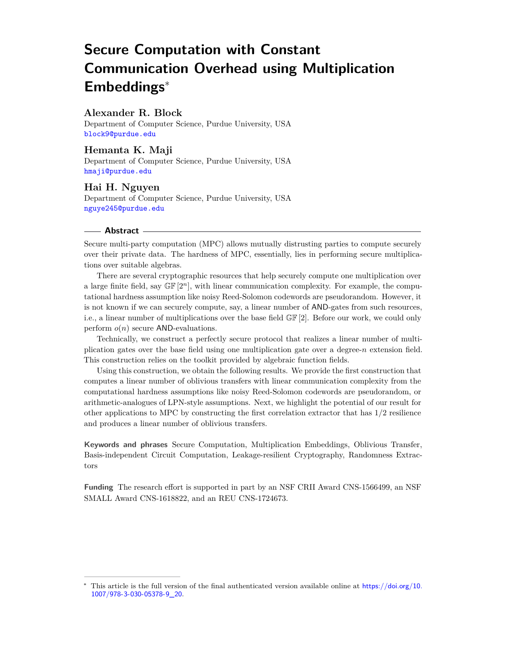# **Secure Computation with Constant Communication Overhead using Multiplication Embeddings**<sup>∗</sup>

## **Alexander R. Block**

Department of Computer Science, Purdue University, USA [block9@purdue.edu](mailto:block9@purdue.edu)

# **Hemanta K. Maji**

Department of Computer Science, Purdue University, USA [hmaji@purdue.edu](mailto:hmaji@purdue.edu)

**Hai H. Nguyen** Department of Computer Science, Purdue University, USA [nguye245@purdue.edu](mailto:nguye245@purdue.edu)

### **Abstract**

Secure multi-party computation (MPC) allows mutually distrusting parties to compute securely over their private data. The hardness of MPC, essentially, lies in performing secure multiplications over suitable algebras.

There are several cryptographic resources that help securely compute one multiplication over a large finite field, say  $\mathbb{GF}[2^n]$ , with linear communication complexity. For example, the computational hardness assumption like noisy Reed-Solomon codewords are pseudorandom. However, it is not known if we can securely compute, say, a linear number of AND-gates from such resources, i.e., a linear number of multiplications over the base field GF [2]. Before our work, we could only perform *o*(*n*) secure AND-evaluations.

Technically, we construct a perfectly secure protocol that realizes a linear number of multiplication gates over the base field using one multiplication gate over a degree-*n* extension field. This construction relies on the toolkit provided by algebraic function fields.

Using this construction, we obtain the following results. We provide the first construction that computes a linear number of oblivious transfers with linear communication complexity from the computational hardness assumptions like noisy Reed-Solomon codewords are pseudorandom, or arithmetic-analogues of LPN-style assumptions. Next, we highlight the potential of our result for other applications to MPC by constructing the first correlation extractor that has 1*/*2 resilience and produces a linear number of oblivious transfers.

**Keywords and phrases** Secure Computation, Multiplication Embeddings, Oblivious Transfer, Basis-independent Circuit Computation, Leakage-resilient Cryptography, Randomness Extractors

**Funding** The research effort is supported in part by an NSF CRII Award CNS-1566499, an NSF SMALL Award CNS-1618822, and an REU CNS-1724673.

This article is the full version of the final authenticated version available online at [https://doi.org/10.](https://doi.org/10.1007/978-3-030-05378-9_20) [1007/978-3-030-05378-9\\_20](https://doi.org/10.1007/978-3-030-05378-9_20).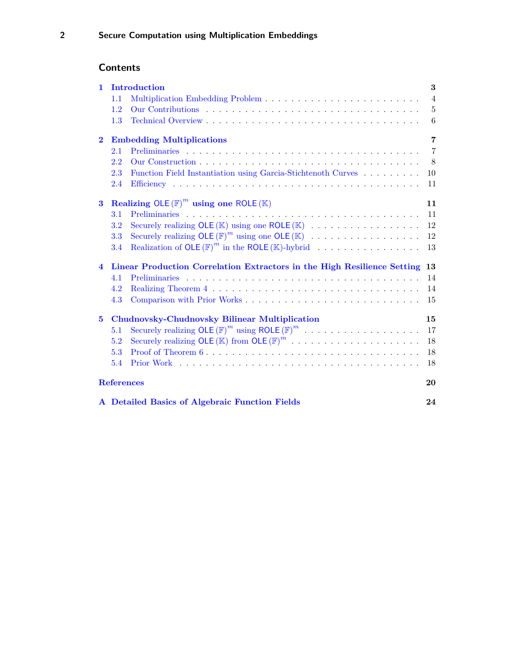# **Contents**

| $\mathbf{1}$            | Introduction<br>3                                                       |                                                                        |                |  |  |  |  |  |  |  |  |  |
|-------------------------|-------------------------------------------------------------------------|------------------------------------------------------------------------|----------------|--|--|--|--|--|--|--|--|--|
|                         | 1.1                                                                     |                                                                        | $\overline{4}$ |  |  |  |  |  |  |  |  |  |
|                         | $1.2\,$                                                                 |                                                                        | 5              |  |  |  |  |  |  |  |  |  |
|                         | 1.3                                                                     |                                                                        | 6              |  |  |  |  |  |  |  |  |  |
| $\mathbf{2}$            | <b>Embedding Multiplications</b>                                        |                                                                        |                |  |  |  |  |  |  |  |  |  |
|                         | 2.1                                                                     |                                                                        | $\overline{7}$ |  |  |  |  |  |  |  |  |  |
|                         | 2.2                                                                     |                                                                        | 8              |  |  |  |  |  |  |  |  |  |
|                         | 2.3                                                                     | Function Field Instantiation using Garcia-Stichtenoth Curves           | 10             |  |  |  |  |  |  |  |  |  |
|                         | 2.4                                                                     |                                                                        | 11             |  |  |  |  |  |  |  |  |  |
| $\bf{3}$                |                                                                         | Realizing OLE $(F)^m$ using one ROLE $(K)$                             | 11             |  |  |  |  |  |  |  |  |  |
|                         | 3.1                                                                     |                                                                        | 11             |  |  |  |  |  |  |  |  |  |
|                         | 3.2                                                                     |                                                                        | 12             |  |  |  |  |  |  |  |  |  |
|                         | 3.3                                                                     | Securely realizing OLE $(\mathbb{F})^m$ using one OLE $(\mathbb{K})$   | 12             |  |  |  |  |  |  |  |  |  |
|                         | 3.4                                                                     | Realization of OLE $(\mathbb{F})^m$ in the ROLE $(\mathbb{K})$ -hybrid | 13             |  |  |  |  |  |  |  |  |  |
| $\overline{\mathbf{4}}$ | Linear Production Correlation Extractors in the High Resilience Setting |                                                                        |                |  |  |  |  |  |  |  |  |  |
|                         | 4.1                                                                     |                                                                        | 14             |  |  |  |  |  |  |  |  |  |
|                         | 4.2                                                                     |                                                                        | 14             |  |  |  |  |  |  |  |  |  |
|                         | 4.3                                                                     |                                                                        | 15             |  |  |  |  |  |  |  |  |  |
| $\bf{5}$                | <b>Chudnovsky-Chudnovsky Bilinear Multiplication</b>                    |                                                                        |                |  |  |  |  |  |  |  |  |  |
|                         | 5.1                                                                     | Securely realizing OLE $(\mathbb{F})^m$ using ROLE $(\mathbb{F})^m$    | 17             |  |  |  |  |  |  |  |  |  |
|                         | 5.2                                                                     | Securely realizing OLE $(\mathbb{K})$ from OLE $(\mathbb{F})^m$        | 18             |  |  |  |  |  |  |  |  |  |
|                         | 5.3                                                                     |                                                                        | 18             |  |  |  |  |  |  |  |  |  |
|                         | 5.4                                                                     |                                                                        | 18             |  |  |  |  |  |  |  |  |  |
| <b>References</b><br>20 |                                                                         |                                                                        |                |  |  |  |  |  |  |  |  |  |
|                         | A Detailed Basics of Algebraic Function Fields                          |                                                                        |                |  |  |  |  |  |  |  |  |  |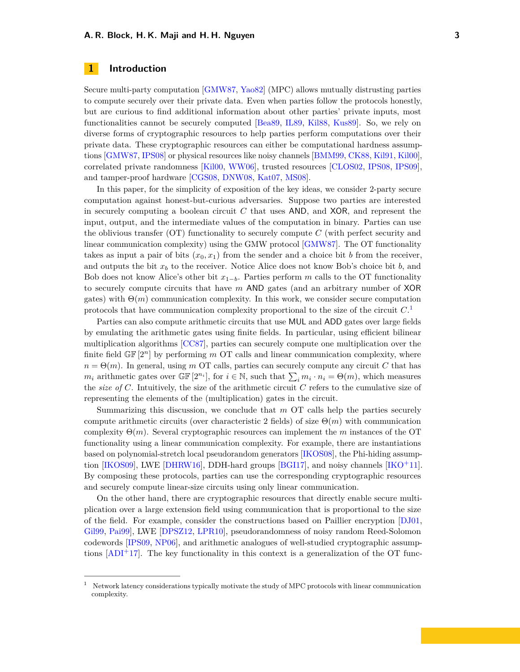### <span id="page-2-2"></span><span id="page-2-0"></span>**1 Introduction**

Secure multi-party computation [\[GMW87,](#page-21-0) [Yao82\]](#page-22-0) (MPC) allows mutually distrusting parties to compute securely over their private data. Even when parties follow the protocols honestly, but are curious to find additional information about other parties' private inputs, most functionalities cannot be securely computed [\[Bea89,](#page-19-0) [IL89,](#page-21-1) [Kil88,](#page-21-2) [Kus89\]](#page-22-1). So, we rely on diverse forms of cryptographic resources to help parties perform computations over their private data. These cryptographic resources can either be computational hardness assumptions [\[GMW87,](#page-21-0) [IPS08\]](#page-21-3) or physical resources like noisy channels [\[BMM99,](#page-19-1) [CK88,](#page-20-0) [Kil91,](#page-21-4) [Kil00\]](#page-21-5), correlated private randomness [\[Kil00,](#page-21-5) [WW06\]](#page-22-2), trusted resources [\[CLOS02,](#page-20-1) [IPS08,](#page-21-3) [IPS09\]](#page-21-6), and tamper-proof hardware [\[CGS08,](#page-20-2) [DNW08,](#page-20-3) [Kat07,](#page-21-7) [MS08\]](#page-22-3).

In this paper, for the simplicity of exposition of the key ideas, we consider 2-party secure computation against honest-but-curious adversaries. Suppose two parties are interested in securely computing a boolean circuit *C* that uses AND, and XOR, and represent the input, output, and the intermediate values of the computation in binary. Parties can use the oblivious transfer (OT) functionality to securely compute *C* (with perfect security and linear communication complexity) using the GMW protocol [\[GMW87\]](#page-21-0). The OT functionality takes as input a pair of bits  $(x_0, x_1)$  from the sender and a choice bit *b* from the receiver, and outputs the bit *x<sup>b</sup>* to the receiver. Notice Alice does not know Bob's choice bit *b*, and Bob does not know Alice's other bit  $x_{1-b}$ . Parties perform *m* calls to the OT functionality to securely compute circuits that have *m* AND gates (and an arbitrary number of XOR gates) with  $\Theta(m)$  communication complexity. In this work, we consider secure computation protocols that have communication complexity proportional to the size of the circuit *C*. [1](#page-2-1)

Parties can also compute arithmetic circuits that use MUL and ADD gates over large fields by emulating the arithmetic gates using finite fields. In particular, using efficient bilinear multiplication algorithms [\[CC87\]](#page-19-2), parties can securely compute one multiplication over the finite field GF [2*<sup>n</sup>*] by performing *m* OT calls and linear communication complexity, where  $n = \Theta(m)$ . In general, using *m* OT calls, parties can securely compute any circuit *C* that has *m*<sub>*i*</sub> arithmetic gates over  $\mathbb{GF}[2^{n_i}]$ , for  $i \in \mathbb{N}$ , such that  $\sum_i m_i \cdot n_i = \Theta(m)$ , which measures the *size of*  $C$ . Intuitively, the size of the arithmetic circuit  $C$  refers to the cumulative size of representing the elements of the (multiplication) gates in the circuit.

Summarizing this discussion, we conclude that *m* OT calls help the parties securely compute arithmetic circuits (over characteristic 2 fields) of size  $\Theta(m)$  with communication complexity Θ(*m*). Several cryptographic resources can implement the *m* instances of the OT functionality using a linear communication complexity. For example, there are instantiations based on polynomial-stretch local pseudorandom generators [\[IKOS08\]](#page-21-8), the Phi-hiding assumption [\[IKOS09\]](#page-21-9), LWE [\[DHRW16\]](#page-20-4), DDH-hard groups [\[BGI17\]](#page-19-3), and noisy channels [\[IKO](#page-21-10)<sup>+</sup>11]. By composing these protocols, parties can use the corresponding cryptographic resources and securely compute linear-size circuits using only linear communication.

On the other hand, there are cryptographic resources that directly enable secure multiplication over a large extension field using communication that is proportional to the size of the field. For example, consider the constructions based on Paillier encryption [\[DJ01,](#page-20-5) [Gil99,](#page-20-6) [Pai99\]](#page-22-4), LWE [\[DPSZ12,](#page-20-7) [LPR10\]](#page-22-5), pseudorandomness of noisy random Reed-Solomon codewords [\[IPS09,](#page-21-6) [NP06\]](#page-22-6), and arithmetic analogues of well-studied cryptographic assumptions  $[ADI+17]$  $[ADI+17]$ . The key functionality in this context is a generalization of the OT func-

<span id="page-2-1"></span><sup>1</sup> Network latency considerations typically motivate the study of MPC protocols with linear communication complexity.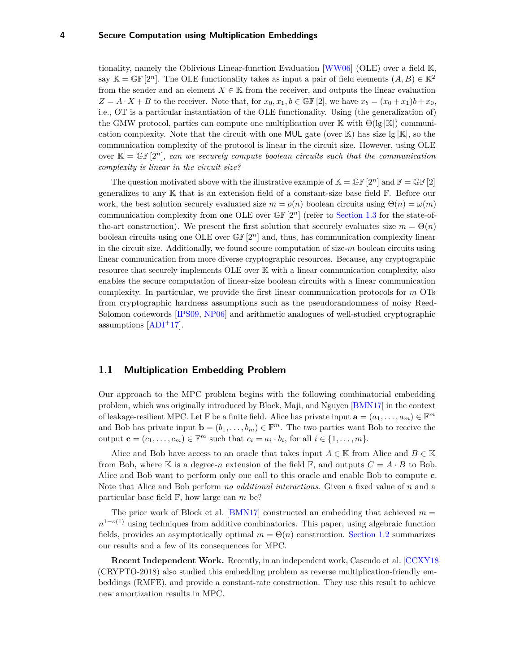<span id="page-3-1"></span>tionality, namely the Oblivious Linear-function Evaluation [\[WW06\]](#page-22-2) (OLE) over a field K, say K = GF [2<sup>n</sup>]. The OLE functionality takes as input a pair of field elements  $(A, B) \in \mathbb{K}^2$ from the sender and an element  $X \in \mathbb{K}$  from the receiver, and outputs the linear evaluation  $Z = A \cdot X + B$  to the receiver. Note that, for  $x_0, x_1, b \in \mathbb{GF}[2]$ , we have  $x_b = (x_0 + x_1)b + x_0$ , i.e., OT is a particular instantiation of the OLE functionality. Using (the generalization of) the GMW protocol, parties can compute one multiplication over K with  $\Theta(|g|K|)$  communication complexity. Note that the circuit with one MUL gate (over  $\mathbb{K}$ ) has size lg  $|\mathbb{K}|$ , so the communication complexity of the protocol is linear in the circuit size. However, using OLE over  $\mathbb{K} = \mathbb{GF}[2^n]$ , *can we securely compute boolean circuits such that the communication complexity is linear in the circuit size?*

The question motivated above with the illustrative example of  $\mathbb{K} = \mathbb{GF}[2^n]$  and  $\mathbb{F} = \mathbb{GF}[2]$ generalizes to any K that is an extension field of a constant-size base field F. Before our work, the best solution securely evaluated size  $m = o(n)$  boolean circuits using  $\Theta(n) = \omega(m)$ communication complexity from one OLE over GF [2*n*] (refer to [Section 1.3](#page-5-0) for the state-ofthe-art construction). We present the first solution that securely evaluates size  $m = \Theta(n)$ boolean circuits using one OLE over GF [2*n*] and, thus, has communication complexity linear in the circuit size. Additionally, we found secure computation of size-*m* boolean circuits using linear communication from more diverse cryptographic resources. Because, any cryptographic resource that securely implements OLE over K with a linear communication complexity, also enables the secure computation of linear-size boolean circuits with a linear communication complexity. In particular, we provide the first linear communication protocols for *m* OTs from cryptographic hardness assumptions such as the pseudorandomness of noisy Reed-Solomon codewords [\[IPS09,](#page-21-6) [NP06\]](#page-22-6) and arithmetic analogues of well-studied cryptographic assumptions  $[ADI<sup>+</sup>17]$  $[ADI<sup>+</sup>17]$ .

### <span id="page-3-0"></span>**1.1 Multiplication Embedding Problem**

Our approach to the MPC problem begins with the following combinatorial embedding problem, which was originally introduced by Block, Maji, and Nguyen [\[BMN17\]](#page-19-5) in the context of leakage-resilient MPC. Let  $\mathbb F$  be a finite field. Alice has private input  $\mathbf a = (a_1, \dots, a_m) \in \mathbb F^m$ and Bob has private input  $\mathbf{b} = (b_1, \ldots, b_m) \in \mathbb{F}^m$ . The two parties want Bob to receive the output  $\mathbf{c} = (c_1, \ldots, c_m) \in \mathbb{F}^m$  such that  $c_i = a_i \cdot b_i$ , for all  $i \in \{1, \ldots, m\}$ .

Alice and Bob have access to an oracle that takes input  $A \in \mathbb{K}$  from Alice and  $B \in \mathbb{K}$ from Bob, where K is a degree-*n* extension of the field F, and outputs  $C = A \cdot B$  to Bob. Alice and Bob want to perform only one call to this oracle and enable Bob to compute **c**. Note that Alice and Bob perform *no additional interactions*. Given a fixed value of *n* and a particular base field F, how large can *m* be?

The prior work of Block et al. [\[BMN17\]](#page-19-5) constructed an embedding that achieved  $m =$ *n*<sup>1−*o*(1)</sup> using techniques from additive combinatorics. This paper, using algebraic function fields, provides an asymptotically optimal  $m = \Theta(n)$  construction. [Section 1.2](#page-4-0) summarizes our results and a few of its consequences for MPC.

**Recent Independent Work.** Recently, in an independent work, Cascudo et al. [\[CCXY18\]](#page-20-8) (CRYPTO-2018) also studied this embedding problem as reverse multiplication-friendly embeddings (RMFE), and provide a constant-rate construction. They use this result to achieve new amortization results in MPC.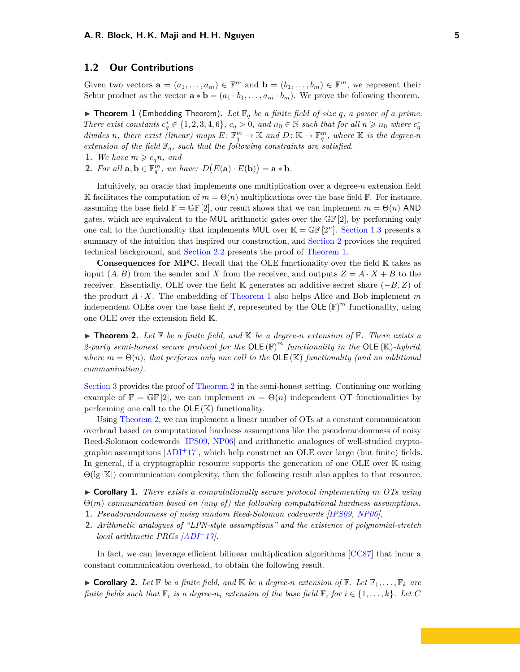### <span id="page-4-4"></span><span id="page-4-0"></span>**1.2 Our Contributions**

Given two vectors  $\mathbf{a} = (a_1, \ldots, a_m) \in \mathbb{F}^m$  and  $\mathbf{b} = (b_1, \ldots, b_m) \in \mathbb{F}^m$ , we represent their Schur product as the vector  $\mathbf{a} * \mathbf{b} = (a_1 \cdot b_1, \dots, a_m \cdot b_m)$ . We prove the following theorem.

<span id="page-4-1"></span> $\blacktriangleright$  **Theorem 1** (Embedding Theorem). Let  $\mathbb{F}_q$  be a finite field of size q, a power of a prime. There exist constants  $c_q^* \in \{1, 2, 3, 4, 6\}$ ,  $c_q > 0$ , and  $n_0 \in \mathbb{N}$  such that for all  $n \geq n_0$  where  $c_q^*$ *divides n*, there exist (linear) maps  $E: \mathbb{F}_q^m \to \mathbb{K}$  and  $D: \mathbb{K} \to \mathbb{F}_q^m$ , where  $\mathbb{K}$  is the degree- $n$ *extension of the field*  $\mathbb{F}_q$ *, such that the following constraints are satisfied.* 

- **1.** *We have*  $m \geqslant c_q n$ *, and*
- **2.** *For all*  $\mathbf{a}, \mathbf{b} \in \mathbb{F}_q^m$ , we have:  $D(E(\mathbf{a}) \cdot E(\mathbf{b})) = \mathbf{a} * \mathbf{b}$ *.*

Intuitively, an oracle that implements one multiplication over a degree-*n* extension field K facilitates the computation of  $m = \Theta(n)$  multiplications over the base field F. For instance, assuming the base field  $\mathbb{F} = \mathbb{GF}[2]$ , our result shows that we can implement  $m = \Theta(n)$  AND gates, which are equivalent to the MUL arithmetic gates over the GF [2], by performing only one call to the functionality that implements MUL over  $\mathbb{K} = \mathbb{GF}[2^n]$ . [Section 1.3](#page-5-0) presents a summary of the intuition that inspired our construction, and [Section 2](#page-6-0) provides the required technical background, and [Section 2.2](#page-7-0) presents the proof of [Theorem 1.](#page-4-1)

**Consequences for MPC.** Recall that the OLE functionality over the field K takes as input  $(A, B)$  from the sender and *X* from the receiver, and outputs  $Z = A \cdot X + B$  to the receiver. Essentially, OLE over the field K generates an additive secret share (−*B, Z*) of the product  $A \cdot X$ . The embedding of [Theorem 1](#page-4-1) also helps Alice and Bob implement *m* independent OLEs over the base field  $\mathbb{F}$ , represented by the OLE  $(\mathbb{F})^m$  functionality, using one OLE over the extension field K.

<span id="page-4-2"></span> $\blacktriangleright$  **Theorem 2.** Let  $\mathbb F$  be a finite field, and  $\mathbb K$  be a degree-n extension of  $\mathbb F$ . There exists a 2-party semi-honest secure protocol for the  $OLE(F)^m$  functionality in the  $OLE(E)$ -hybrid, *where*  $m = \Theta(n)$ *, that performs only one call to the*  $\overline{OLE}(\mathbb{K})$  *functionality (and no additional*) *communication).*

[Section 3](#page-10-1) provides the proof of [Theorem 2](#page-4-2) in the semi-honest setting. Continuing our working example of  $\mathbb{F} = \mathbb{GF}[2]$ , we can implement  $m = \Theta(n)$  independent OT functionalities by performing one call to the  $OLE (K)$  functionality.

Using [Theorem 2,](#page-4-2) we can implement a linear number of OTs at a constant communication overhead based on computational hardness assumptions like the pseudorandomness of noisy Reed-Solomon codewords [\[IPS09,](#page-21-6) [NP06\]](#page-22-6) and arithmetic analogues of well-studied cryptographic assumptions  $[ADI^+17]$  $[ADI^+17]$ , which help construct an OLE over large (but finite) fields. In general, if a cryptographic resource supports the generation of one OLE over K using  $\Theta(|g|K|)$  communication complexity, then the following result also applies to that resource.

I **Corollary 1.** *There exists a computationally secure protocol implementing m OTs using* Θ(*m*) *communication based on (any of) the following computational hardness assumptions.* **1.** *Pseudorandomness of noisy random Reed-Solomon codewords [\[IPS09,](#page-21-6) [NP06\]](#page-22-6),*

**2.** *Arithmetic analogues of "LPN-style assumptions" and the existence of polynomial-stretch local arithmetic PRGs [\[ADI](#page-19-4)*<sup>+</sup>*17].*

In fact, we can leverage efficient bilinear multiplication algorithms [\[CC87\]](#page-19-2) that incur a constant communication overhead, to obtain the following result.

<span id="page-4-3"></span> $\blacktriangleright$  **Corollary 2.** Let  $\mathbb{F}$  be a finite field, and  $\mathbb{K}$  be a degree-n extension of  $\mathbb{F}$ . Let  $\mathbb{F}_1, \ldots, \mathbb{F}_k$  are *finite fields such that*  $\mathbb{F}_i$  *is a degree-n<sub>i</sub> extension of the base field*  $\mathbb{F}_i$  *for*  $i \in \{1, \ldots, k\}$ *. Let*  $C$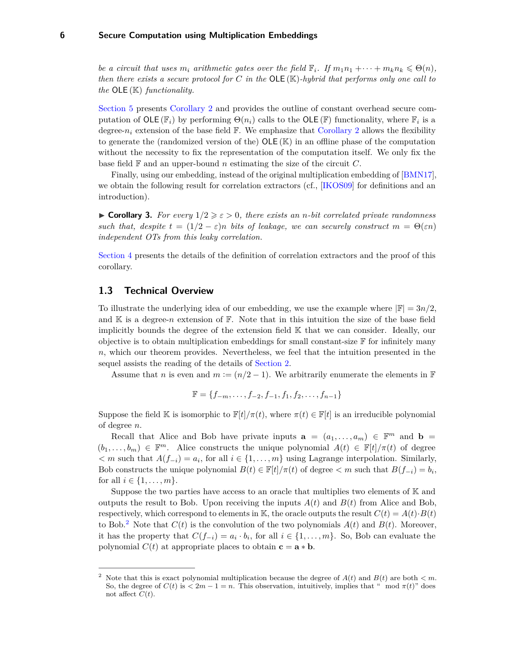<span id="page-5-3"></span>*be a circuit that uses*  $m_i$  *arithmetic gates over the field*  $\mathbb{F}_i$ *. If*  $m_1 n_1 + \cdots + m_k n_k \leq \Theta(n)$ *, then there exists a secure protocol for C in the* OLE (K)*-hybrid that performs only one call to the* OLE (K) *functionality.*

[Section 5](#page-14-1) presents [Corollary 2](#page-4-3) and provides the outline of constant overhead secure computation of  $OLE(\mathbb{F}_i)$  by performing  $Θ(n_i)$  calls to the  $OLE(\mathbb{F})$  functionality, where  $\mathbb{F}_i$  is a degree- $n_i$  extension of the base field  $\mathbb F$ . We emphasize that [Corollary 2](#page-4-3) allows the flexibility to generate the (randomized version of the)  $OLE(K)$  in an offline phase of the computation without the necessity to fix the representation of the computation itself. We only fix the base field  $\mathbb F$  and an upper-bound *n* estimating the size of the circuit  $C$ .

Finally, using our embedding, instead of the original multiplication embedding of [\[BMN17\]](#page-19-5), we obtain the following result for correlation extractors (cf., [\[IKOS09\]](#page-21-9) for definitions and an introduction).

<span id="page-5-2"></span>**If Corollary 3.** For every  $1/2 \geq \epsilon > 0$ , there exists an *n*-bit correlated private randomness *such that, despite*  $t = (1/2 - \varepsilon)n$  *bits of leakage, we can securely construct*  $m = \Theta(\varepsilon n)$ *independent OTs from this leaky correlation.*

[Section 4](#page-12-1) presents the details of the definition of correlation extractors and the proof of this corollary.

### <span id="page-5-0"></span>**1.3 Technical Overview**

To illustrate the underlying idea of our embedding, we use the example where  $|\mathbb{F}| = 3n/2$ , and  $\mathbb K$  is a degree-*n* extension of  $\mathbb F$ . Note that in this intuition the size of the base field implicitly bounds the degree of the extension field K that we can consider. Ideally, our objective is to obtain multiplication embeddings for small constant-size  $\mathbb F$  for infinitely many *n*, which our theorem provides. Nevertheless, we feel that the intuition presented in the sequel assists the reading of the details of [Section 2.](#page-6-0)

Assume that *n* is even and  $m := (n/2 - 1)$ . We arbitrarily enumerate the elements in  $\mathbb{F}$ 

$$
\mathbb{F} = \{f_{-m}, \ldots, f_{-2}, f_{-1}, f_1, f_2, \ldots, f_{n-1}\}
$$

Suppose the field K is isomorphic to  $\mathbb{F}[t/\pi(t)]$ , where  $\pi(t) \in \mathbb{F}[t]$  is an irreducible polynomial of degree *n*.

Recall that Alice and Bob have private inputs  $\mathbf{a} = (a_1, \ldots, a_m) \in \mathbb{F}^m$  and  $\mathbf{b} =$  $(b_1, \ldots, b_m) \in \mathbb{F}^m$ . Alice constructs the unique polynomial  $A(t) \in \mathbb{F}[t]/\pi(t)$  of degree  $\langle m \rangle$  such that  $A(f_{-i}) = a_i$ , for all  $i \in \{1, ..., m\}$  using Lagrange interpolation. Similarly, Bob constructs the unique polynomial  $B(t) \in \mathbb{F}[t]/\pi(t)$  of degree  $\lt m$  such that  $B(f_{-i}) = b_i$ , for all  $i \in \{1, ..., m\}$ .

Suppose the two parties have access to an oracle that multiplies two elements of  $K$  and outputs the result to Bob. Upon receiving the inputs  $A(t)$  and  $B(t)$  from Alice and Bob, respectively, which correspond to elements in K, the oracle outputs the result  $C(t) = A(t) \cdot B(t)$ to Bob.<sup>[2](#page-5-1)</sup> Note that  $C(t)$  is the convolution of the two polynomials  $A(t)$  and  $B(t)$ . Moreover, it has the property that  $C(f_{-i}) = a_i \cdot b_i$ , for all  $i \in \{1, \ldots, m\}$ . So, Bob can evaluate the polynomial  $C(t)$  at appropriate places to obtain  $c = a * b$ .

<span id="page-5-1"></span><sup>&</sup>lt;sup>2</sup> Note that this is exact polynomial multiplication because the degree of  $A(t)$  and  $B(t)$  are both  $\lt m$ . So, the degree of  $C(t)$  is  $\lt 2m - 1 = n$ . This observation, intuitively, implies that " mod  $\pi(t)$ " does not affect  $C(t)$ .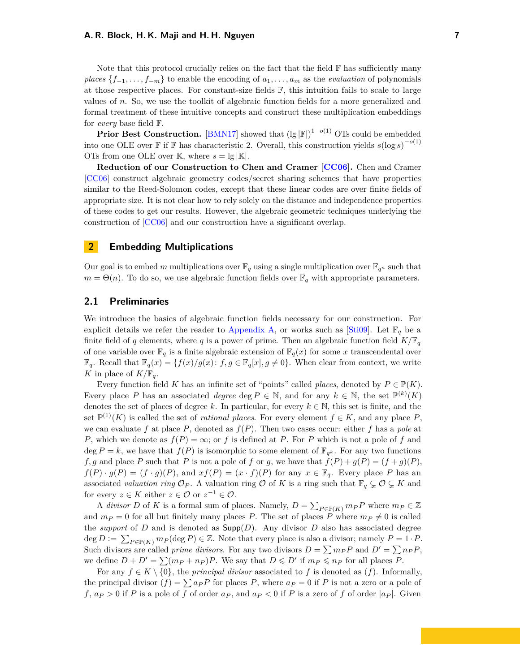#### <span id="page-6-2"></span>**A. R. Block, H. K. Maji and H. H. Nguyen 7**

Note that this protocol crucially relies on the fact that the field  $\mathbb F$  has sufficiently many *places*  $\{f_{-1}, \ldots, f_{-m}\}$  to enable the encoding of  $a_1, \ldots, a_m$  as the *evaluation* of polynomials at those respective places. For constant-size fields  $\mathbb{F}$ , this intuition fails to scale to large values of *n*. So, we use the toolkit of algebraic function fields for a more generalized and formal treatment of these intuitive concepts and construct these multiplication embeddings for *every* base field F.

**Prior Best Construction.** [\[BMN17\]](#page-19-5) showed that  $(\lg |\mathbb{F}|)^{1-o(1)}$  OTs could be embedded into one OLE over  $\mathbb F$  if  $\mathbb F$  has characteristic 2. Overall, this construction yields  $s(\log s)^{-o(1)}$ OTs from one OLE over K, where  $s = \lg |\mathbb{K}|$ .

**Reduction of our Construction to Chen and Cramer [\[CC06\]](#page-20-9).** Chen and Cramer [\[CC06\]](#page-20-9) construct algebraic geometry codes/secret sharing schemes that have properties similar to the Reed-Solomon codes, except that these linear codes are over finite fields of appropriate size. It is not clear how to rely solely on the distance and independence properties of these codes to get our results. However, the algebraic geometric techniques underlying the construction of [\[CC06\]](#page-20-9) and our construction have a significant overlap.

## <span id="page-6-0"></span>**2 Embedding Multiplications**

Our goal is to embed *m* multiplications over  $\mathbb{F}_q$  using a single multiplication over  $\mathbb{F}_{q^n}$  such that  $m = \Theta(n)$ . To do so, we use algebraic function fields over  $\mathbb{F}_q$  with appropriate parameters.

### <span id="page-6-1"></span>**2.1 Preliminaries**

We introduce the basics of algebraic function fields necessary for our construction. For explicit details we refer the reader to [Appendix A,](#page-23-0) or works such as [\[Sti09\]](#page-22-7). Let  $\mathbb{F}_q$  be a finite field of *q* elements, where *q* is a power of prime. Then an algebraic function field  $K/\mathbb{F}_q$ of one variable over  $\mathbb{F}_q$  is a finite algebraic extension of  $\mathbb{F}_q(x)$  for some *x* transcendental over  $\mathbb{F}_q$ . Recall that  $\mathbb{F}_q(x) = \{f(x)/g(x): f, g \in \mathbb{F}_q[x], g \neq 0\}$ . When clear from context, we write *K* in place of  $K/\mathbb{F}_q$ .

Every function field *K* has an infinite set of "points" called *places*, denoted by  $P \in \mathbb{P}(K)$ . Every place P has an associated *degree* deg  $P \in \mathbb{N}$ , and for any  $k \in \mathbb{N}$ , the set  $\mathbb{P}^{(k)}(K)$ denotes the set of places of degree *k*. In particular, for every  $k \in \mathbb{N}$ , this set is finite, and the set  $\mathbb{P}^{(1)}(K)$  is called the set of *rational places*. For every element  $f \in K$ , and any place P, we can evaluate f at place P, denoted as  $f(P)$ . Then two cases occur: either f has a pole at *P*, which we denote as  $f(P) = \infty$ ; or *f* is defined at *P*. For *P* which is not a pole of *f* and deg  $P = k$ , we have that  $f(P)$  is isomorphic to some element of  $\mathbb{F}_{q^k}$ . For any two functions *f*, *g* and place *P* such that *P* is not a pole of *f* or *g*, we have that  $f(P) + g(P) = (f + g)(P)$ ,  $f(P) \cdot g(P) = (f \cdot g)(P)$ , and  $xf(P) = (x \cdot f)(P)$  for any  $x \in \mathbb{F}_q$ . Every place *P* has an associated *valuation ring*  $\mathcal{O}_P$ . A valuation ring  $\mathcal{O}$  of *K* is a ring such that  $\mathbb{F}_q \subsetneq \mathcal{O} \subsetneq K$  and for every  $z \in K$  either  $z \in \mathcal{O}$  or  $z^{-1} \in \mathcal{O}$ .

A *divisor D* of *K* is a formal sum of places. Namely,  $D = \sum_{P \in \mathbb{P}(K)} m_P P$  where  $m_P \in \mathbb{Z}$ and  $m_P = 0$  for all but finitely many places P. The set of places P where  $m_P \neq 0$  is called the *support* of *D* and is denoted as  $\text{Supp}(D)$ . Any divisor *D* also has associated degree  $\deg D := \sum_{P \in \mathbb{P}(K)} m_P(\deg P) \in \mathbb{Z}$ . Note that every place is also a divisor; namely  $P = 1 \cdot P$ . Such divisors are called *prime divisors*. For any two divisors  $D = \sum m_P P$  and  $D' = \sum n_P P$ , we define  $D + D' = \sum (m_P + n_P)P$ . We say that  $D \leq D'$  if  $m_P \leq n_P$  for all places *P*.

For any  $f \in K \setminus \{0\}$ , the *principal divisor* associated to f is denoted as  $(f)$ . Informally, the principal divisor  $(f) = \sum a_P P$  for places P, where  $a_P = 0$  if P is not a zero or a pole of *f*,  $a_P > 0$  if *P* is a pole of *f* of order  $a_P$ , and  $a_P < 0$  if *P* is a zero of *f* of order  $|a_P|$ . Given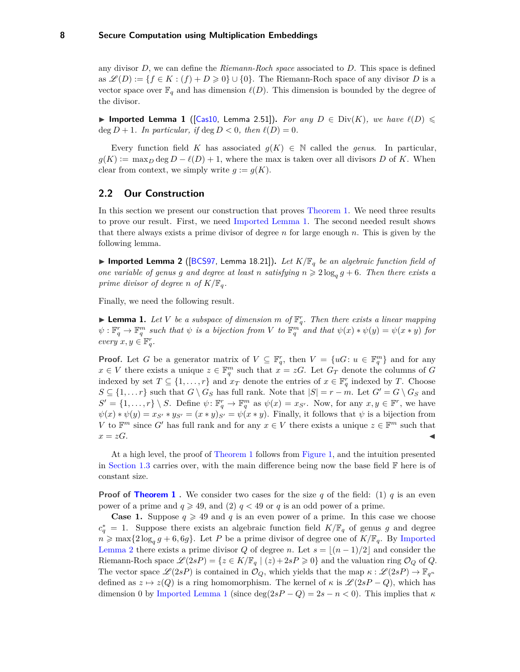<span id="page-7-4"></span>any divisor *D*, we can define the *Riemann-Roch space* associated to *D*. This space is defined as  $\mathscr{L}(D) := \{f \in K : (f) + D \geq 0\} \cup \{0\}$ . The Riemann-Roch space of any divisor *D* is a vector space over  $\mathbb{F}_q$  and has dimension  $\ell(D)$ . This dimension is bounded by the degree of the divisor.

<span id="page-7-1"></span>▶ Imported Lemma 1 ([\[Cas10,](#page-19-6) Lemma 2.51]). *For any*  $D \in \text{Div}(K)$ , we have  $\ell(D)$   $\leq$  $\deg D + 1$ *. In particular, if*  $\deg D < 0$ *, then*  $\ell(D) = 0$ *.* 

Every function field *K* has associated  $g(K) \in \mathbb{N}$  called the *genus*. In particular,  $g(K) := \max_D \deg D - \ell(D) + 1$ , where the max is taken over all divisors *D* of *K*. When clear from context, we simply write  $g := g(K)$ .

### <span id="page-7-0"></span>**2.2 Our Construction**

In this section we present our construction that proves [Theorem 1.](#page-4-1) We need three results to prove our result. First, we need [Imported Lemma 1.](#page-7-1) The second needed result shows that there always exists a prime divisor of degree *n* for large enough *n*. This is given by the following lemma.

<span id="page-7-2"></span>**Imported Lemma 2** ([\[BCS97,](#page-19-7) Lemma 18.21]). Let  $K/\mathbb{F}_q$  be an algebraic function field of *one variable of genus g and degree at least <i>n satisfying*  $n \geqslant 2 \log_q g + 6$ *. Then there exists a prime divisor of degree n of*  $K/\mathbb{F}_q$ *.* 

Finally, we need the following result.

<span id="page-7-3"></span>**Example 1.** Let V be a subspace of dimension m of  $\mathbb{F}_q^r$ . Then there exists a linear mapping  $\psi: \mathbb{F}_q^r \to \mathbb{F}_q^m$  such that  $\psi$  is a bijection from V to  $\mathbb{F}_q^m$  and that  $\psi(x) * \psi(y) = \psi(x * y)$  for  $every \; x, y \in \mathbb{F}_q^r.$ 

**Proof.** Let *G* be a generator matrix of  $V \subseteq \mathbb{F}_q^r$ , then  $V = \{uG : u \in \mathbb{F}_q^m\}$  and for any  $x \in V$  there exists a unique  $z \in \mathbb{F}_q^m$  such that  $x = zG$ . Let  $G_T$  denote the columns of *G* indexed by set  $T \subseteq \{1, \ldots, r\}$  and  $x_T$  denote the entries of  $x \in \mathbb{F}_q^r$  indexed by *T*. Choose  $S \subseteq \{1, \ldots r\}$  such that  $G \setminus G_S$  has full rank. Note that  $|S| = r - m$ . Let  $G' = G \setminus G_S$  and  $S' = \{1, \ldots, r\} \setminus S$ . Define  $\psi \colon \mathbb{F}_q^r \to \mathbb{F}_q^m$  as  $\psi(x) = x_{S'}$ . Now, for any  $x, y \in \mathbb{F}^r$ , we have  $\psi(x) * \psi(y) = x_{S'} * y_{S'} = (x * y)_{S'} = \psi(x * y)$ . Finally, it follows that  $\psi$  is a bijection from *V* to  $\mathbb{F}^m$  since *G*<sup> $\prime$ </sup> has full rank and for any  $x \in V$  there exists a unique  $z \in \mathbb{F}^m$  such that  $x = zG$ .

At a high level, the proof of [Theorem 1](#page-4-1) follows from [Figure 1,](#page-8-0) and the intuition presented in [Section 1.3](#page-5-0) carries over, with the main difference being now the base field  $\mathbb F$  here is of constant size.

**Proof of [Theorem 1](#page-4-1)**. We consider two cases for the size  $q$  of the field: (1)  $q$  is an even power of a prime and  $q \geq 49$ , and (2)  $q < 49$  or q is an odd power of a prime.

**Case 1.** Suppose  $q \ge 49$  and q is an even power of a prime. In this case we choose  $c_q^* = 1$ . Suppose there exists an algebraic function field  $K/\mathbb{F}_q$  of genus *g* and degree  $n \ge \max\{2\log_q g + 6, 6g\}$ . Let *P* be a prime divisor of degree one of  $K/\mathbb{F}_q$ . By [Imported](#page-7-2) [Lemma 2](#page-7-2) there exists a prime divisor *Q* of degree *n*. Let  $s = \lfloor (n-1)/2 \rfloor$  and consider the Riemann-Roch space  $\mathscr{L}(2sP) = \{z \in K/\mathbb{F}_q \mid (z) + 2sP \geq 0\}$  and the valuation ring  $\mathcal{O}_Q$  of *Q*. The vector space  $\mathscr{L}(2sP)$  is contained in  $\mathcal{O}_Q$ , which yields that the map  $\kappa : \mathscr{L}(2sP) \to \mathbb{F}_{q^n}$ defined as  $z \mapsto z(Q)$  is a ring homomorphism. The kernel of  $\kappa$  is  $\mathscr{L}(2sP - Q)$ , which has dimension 0 by [Imported Lemma 1](#page-7-1) (since deg( $2sP - Q$ ) =  $2s - n < 0$ ). This implies that  $\kappa$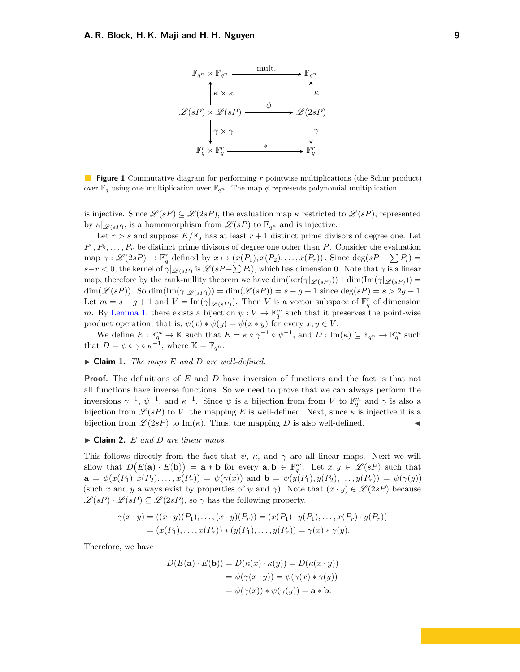<span id="page-8-0"></span>

**Figure 1** Commutative diagram for performing *r* pointwise multiplications (the Schur product) over  $\mathbb{F}_q$  using one multiplication over  $\mathbb{F}_{q^n}$ . The map  $\phi$  represents polynomial multiplication.

is injective. Since  $\mathscr{L}(sP) \subseteq \mathscr{L}(2sP)$ , the evaluation map *κ* restricted to  $\mathscr{L}(sP)$ , represented by  $\kappa|_{\mathscr{L}(sP)}$ , is a homomorphism from  $\mathscr{L}(sP)$  to  $\mathbb{F}_{q^n}$  and is injective.

Let  $r > s$  and suppose  $K/\mathbb{F}_q$  has at least  $r + 1$  distinct prime divisors of degree one. Let  $P_1, P_2, \ldots, P_r$  be distinct prime divisors of degree one other than *P*. Consider the evaluation  $\text{map } \gamma : \mathscr{L}(2sP) \to \mathbb{F}_q^r$  defined by  $x \mapsto (x(P_1), x(P_2), \dots, x(P_r))$ . Since  $\deg(sP - \sum P_i) =$  $s-r < 0$ , the kernel of  $\gamma|_{\mathscr{L}(sP)}$  is  $\mathscr{L}(sP-\sum P_i)$ , which has dimension 0. Note that  $\gamma$  is a linear map, therefore by the rank-nullity theorem we have  $\dim(\ker(\gamma|_{\mathscr{L}(sP)})) + \dim(\text{Im}(\gamma|_{\mathscr{L}(sP)})) =$  $\dim(\mathcal{L}(sP))$ . So  $\dim(\text{Im}(\gamma|_{\mathcal{L}(sP)})) = \dim(\mathcal{L}(sP)) = s - g + 1$  since  $\deg(sP) = s > 2g - 1$ . Let  $m = s - g + 1$  and  $V = \text{Im}(\gamma|_{\mathscr{L}(sP)})$ . Then *V* is a vector subspace of  $\mathbb{F}_q^r$  of dimension *m*. By [Lemma 1,](#page-7-3) there exists a bijection  $\psi: V \to \mathbb{F}_q^m$  such that it preserves the point-wise product operation; that is,  $\psi(x) * \psi(y) = \psi(x * y)$  for every  $x, y \in V$ .

We define  $E: \mathbb{F}_q^m \to \mathbb{K}$  such that  $E = \kappa \circ \gamma^{-1} \circ \psi^{-1}$ , and  $D: \text{Im}(\kappa) \subseteq \mathbb{F}_{q^n} \to \mathbb{F}_q^m$  such that  $D = \psi \circ \gamma \circ \kappa^{-1}$ , where  $\mathbb{K} = \mathbb{F}_{q^n}$ .

### $\blacktriangleright$  **Claim 1.** *The maps*  $E$  *and*  $D$  *are well-defined.*

**Proof.** The definitions of *E* and *D* have inversion of functions and the fact is that not all functions have inverse functions. So we need to prove that we can always perform the inversions  $\gamma^{-1}$ ,  $\psi^{-1}$ , and  $\kappa^{-1}$ . Since  $\psi$  is a bijection from from *V* to  $\mathbb{F}_q^m$  and  $\gamma$  is also a bijection from  $\mathscr{L}(sP)$  to *V*, the mapping *E* is well-defined. Next, since  $\kappa$  is injective it is a bijection from  $\mathcal{L}(2sP)$  to Im( $\kappa$ ). Thus, the mapping *D* is also well-defined.

### $\blacktriangleright$  **Claim 2.** *E* and *D* are linear maps.

This follows directly from the fact that  $\psi$ , *κ*, and  $\gamma$  are all linear maps. Next we will show that  $D(E(\mathbf{a}) \cdot E(\mathbf{b})) = \mathbf{a} * \mathbf{b}$  for every  $\mathbf{a}, \mathbf{b} \in \mathbb{F}_q^m$ . Let  $x, y \in \mathscr{L}(sP)$  such that  $\mathbf{a} = \psi(x(P_1), x(P_2), \dots, x(P_r)) = \psi(\gamma(x))$  and  $\mathbf{b} = \psi(y(P_1), y(P_2), \dots, y(P_r)) = \psi(\gamma(y))$ (such *x* and *y* always exist by properties of  $\psi$  and  $\gamma$ ). Note that  $(x \cdot y) \in \mathcal{L}(2sP)$  because  $\mathscr{L}(sP) \cdot \mathscr{L}(sP) \subseteq \mathscr{L}(2sP)$ , so  $\gamma$  has the following property.

$$
\gamma(x \cdot y) = ((x \cdot y)(P_1), \dots, (x \cdot y)(P_r)) = (x(P_1) \cdot y(P_1), \dots, x(P_r) \cdot y(P_r))
$$
  
=  $(x(P_1), \dots, x(P_r)) * (y(P_1), \dots, y(P_r)) = \gamma(x) * \gamma(y).$ 

Therefore, we have

$$
D(E(\mathbf{a}) \cdot E(\mathbf{b})) = D(\kappa(x) \cdot \kappa(y)) = D(\kappa(x \cdot y))
$$
  
=  $\psi(\gamma(x \cdot y)) = \psi(\gamma(x) * \gamma(y))$   
=  $\psi(\gamma(x)) * \psi(\gamma(y)) = \mathbf{a} * \mathbf{b}.$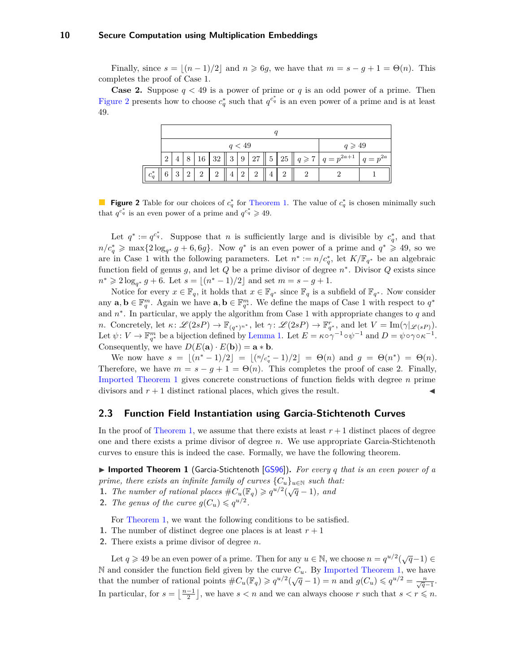<span id="page-9-3"></span>Finally, since  $s = \lfloor (n-1)/2 \rfloor$  and  $n \geq 6g$ , we have that  $m = s - g + 1 = \Theta(n)$ . This completes the proof of Case 1.

<span id="page-9-1"></span>**Case 2.** Suppose  $q < 49$  is a power of prime or q is an odd power of a prime. Then [Figure 2](#page-9-1) presents how to choose  $c_q^*$  such that  $q^{c_q^*}$  is an even power of a prime and is at least 49.

|         | q < 49 |          |   |                |                |  |          |  |  | $q \geqslant 49$ |  |                                                                      |            |
|---------|--------|----------|---|----------------|----------------|--|----------|--|--|------------------|--|----------------------------------------------------------------------|------------|
|         |        |          | 8 |                |                |  |          |  |  |                  |  | $\mid$ 16   32    3   9   27    5   25    $q \ge 7$   $q = p^{2a+1}$ | $q=p^{2a}$ |
| $c^*_a$ | 6      | $\Omega$ |   | $\overline{2}$ | $\overline{2}$ |  | $\Omega$ |  |  |                  |  |                                                                      |            |

**Figure 2** Table for our choices of  $c_q^*$  for [Theorem 1.](#page-4-1) The value of  $c_q^*$  is chosen minimally such that  $q^{c_q^*}$  is an even power of a prime and  $q^{c_q^*} \geq 49$ .

Let  $q^* := q^{c_q^*}$ . Suppose that *n* is sufficiently large and is divisible by  $c_q^*$ , and that  $n/c_q^* \geqslant \max\{2\log_{q^*} g + 6, 6g\}.$  Now  $q^*$  is an even power of a prime and  $q^* \geqslant 49$ , so we are in Case 1 with the following parameters. Let  $n^* := n/c_q^*$ , let  $K/\mathbb{F}_{q^*}$  be an algebraic function field of genus *g*, and let *Q* be a prime divisor of degree *n* ∗ . Divisor *Q* exists since  $n^* \geq 2 \log_{q^*} g + 6$ . Let  $s = \lfloor (n^* - 1)/2 \rfloor$  and set  $m = s - g + 1$ .

Notice for every  $x \in \mathbb{F}_q$ , it holds that  $x \in \mathbb{F}_{q^*}$  since  $\mathbb{F}_q$  is a subfield of  $\mathbb{F}_{q^*}$ . Now consider any  $\mathbf{a}, \mathbf{b} \in \mathbb{F}_q^m$ . Again we have  $\mathbf{a}, \mathbf{b} \in \mathbb{F}_{q^*}^m$ . We define the maps of Case 1 with respect to  $q^*$ and *n* ∗ . In particular, we apply the algorithm from Case 1 with appropriate changes to *q* and *n*. Concretely, let  $\kappa$ :  $\mathscr{L}(2sP) \to \mathbb{F}_{(q^*)^{n^*}}$ , let  $\gamma$ :  $\mathscr{L}(2sP) \to \mathbb{F}_{q^*}^r$ , and let  $V = \text{Im}(\gamma|_{\mathscr{L}(sP)})$ . Let  $\psi: V \to \mathbb{F}_{q^*}^m$  be a bijection defined by [Lemma 1.](#page-7-3) Let  $E = \kappa \circ \gamma^{-1} \circ \psi^{-1}$  and  $D = \psi \circ \gamma \circ \kappa^{-1}$ . Consequently, we have  $D(E(\mathbf{a}) \cdot E(\mathbf{b})) = \mathbf{a} * \mathbf{b}$ .

We now have  $s = \lfloor (n^* - 1)/2 \rfloor = \lfloor (n/c_q^* - 1)/2 \rfloor = \Theta(n)$  and  $g = \Theta(n^*) = \Theta(n)$ . Therefore, we have  $m = s - g + 1 = \Theta(n)$ . This completes the proof of case 2. Finally, [Imported Theorem 1](#page-9-2) gives concrete constructions of function fields with degree *n* prime divisors and  $r + 1$  distinct rational places, which gives the result.

### <span id="page-9-0"></span>**2.3 Function Field Instantiation using Garcia-Stichtenoth Curves**

In the proof of [Theorem 1,](#page-4-1) we assume that there exists at least  $r + 1$  distinct places of degree one and there exists a prime divisor of degree *n*. We use appropriate Garcia-Stichtenoth curves to ensure this is indeed the case. Formally, we have the following theorem.

<span id="page-9-2"></span>**Imported Theorem 1** (Garcia-Stichtenoth [\[GS96\]](#page-21-11)). For every q that is an even power of a *prime, there exists an infinite family of curves*  ${C_u}_{u \in \mathbb{N}}$  *such that:* 

**1.** *The number of rational places*  $\#C_u(\mathbb{F}_q) \geq q^{u/2}(\sqrt{q}-1)$ *, and* 

**2.** *The genus of the curve*  $g(C_u) \leqslant q^{u/2}$ .

For [Theorem 1,](#page-4-1) we want the following conditions to be satisfied.

- **1.** The number of distinct degree one places is at least  $r + 1$
- **2.** There exists a prime divisor of degree *n*.

Let  $q \ge 49$  be an even power of a prime. Then for any  $u \in \mathbb{N}$ , we choose  $n = q^{u/2}(\sqrt{q}-1) \in$  $\mathbb N$  and consider the function field given by the curve  $C_u$ . By [Imported Theorem 1,](#page-9-2) we have that the number of rational points  $\#C_u(\mathbb{F}_q) \geq q^{u/2}(\sqrt{q}-1) = n$  and  $g(C_u) \leq q^{u/2} = \frac{n}{\sqrt{q}-1}$ . In particular, for  $s = \lfloor \frac{n-1}{2} \rfloor$ , we have  $s < n$  and we can always choose r such that  $s < r \leq n$ .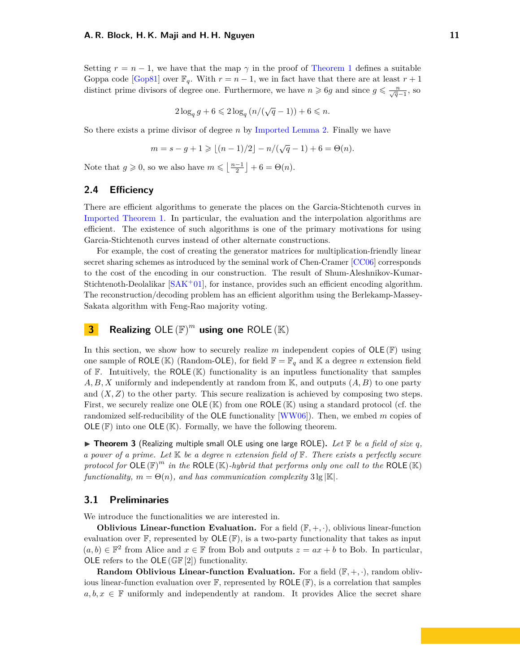<span id="page-10-4"></span>Setting  $r = n - 1$ , we have that the map  $\gamma$  in the proof of [Theorem 1](#page-4-1) defines a suitable Goppa code [\[Gop81\]](#page-21-12) over  $\mathbb{F}_q$ . With  $r = n - 1$ , we in fact have that there are at least  $r + 1$ distinct prime divisors of degree one. Furthermore, we have  $n \geq 6g$  and since  $g \leq \frac{n}{\sqrt{q}-1}$ , so

$$
2\log_q g + 6 \leqslant 2\log_q\left(n/(\sqrt{q}-1)\right) + 6 \leqslant n.
$$

So there exists a prime divisor of degree *n* by [Imported Lemma 2.](#page-7-2) Finally we have

$$
m = s - g + 1 \geqslant \lfloor (n - 1)/2 \rfloor - n/(\sqrt{q} - 1) + 6 = \Theta(n).
$$

Note that  $g \ge 0$ , so we also have  $m \le \left\lfloor \frac{n-1}{2} \right\rfloor + 6 = \Theta(n)$ .

### <span id="page-10-0"></span>**2.4 Efficiency**

There are efficient algorithms to generate the places on the Garcia-Stichtenoth curves in [Imported Theorem 1.](#page-9-2) In particular, the evaluation and the interpolation algorithms are efficient. The existence of such algorithms is one of the primary motivations for using Garcia-Stichtenoth curves instead of other alternate constructions.

For example, the cost of creating the generator matrices for multiplication-friendly linear secret sharing schemes as introduced by the seminal work of Chen-Cramer [\[CC06\]](#page-20-9) corresponds to the cost of the encoding in our construction. The result of Shum-Aleshnikov-Kumar-Stichtenoth-Deolalikar  $[SAK+01]$  $[SAK+01]$ , for instance, provides such an efficient encoding algorithm. The reconstruction/decoding problem has an efficient algorithm using the Berlekamp-Massey-Sakata algorithm with Feng-Rao majority voting.

# <span id="page-10-1"></span>**3 Realizing** OLE  $(\mathbb{F})^m$  using one ROLE  $(\mathbb{K})$

In this section, we show how to securely realize  $m$  independent copies of  $OLE(\mathbb{F})$  using one sample of ROLE (K) (Random-OLE), for field  $\mathbb{F} = \mathbb{F}_q$  and K a degree *n* extension field of  $F$ . Intuitively, the ROLE  $(K)$  functionality is an inputless functionality that samples *A, B, X* uniformly and independently at random from K, and outputs (*A, B*) to one party and  $(X, Z)$  to the other party. This secure realization is achieved by composing two steps. First, we securely realize one  $OLE(\mathbb{K})$  from one  $ROLE(\mathbb{K})$  using a standard protocol (cf. the randomized self-reducibility of the OLE functionality [\[WW06\]](#page-22-2)). Then, we embed *m* copies of  $OLE(\mathbb{F})$  into one  $OLE(\mathbb{K})$ . Formally, we have the following theorem.

<span id="page-10-3"></span> $\triangleright$  **Theorem 3** (Realizing multiple small OLE using one large ROLE). Let  $\mathbb{F}$  be a field of size q, *a power of a prime. Let* K *be a degree n extension field of* F*. There exists a perfectly secure* protocol for  $OLE(F)^m$  *in the* ROLE  $(\mathbb{K})$ -*hybrid that performs only one call to the* ROLE  $(\mathbb{K})$ *functionality,*  $m = \Theta(n)$ *, and has communication complexity*  $3 \lg |\mathbb{K}|$ *.* 

### <span id="page-10-2"></span>**3.1 Preliminaries**

We introduce the functionalities we are interested in.

**Oblivious Linear-function Evaluation.** For a field  $(\mathbb{F}, +, \cdot)$ , oblivious linear-function evaluation over  $\mathbb{F}$ , represented by  $OLE(\mathbb{F})$ , is a two-party functionality that takes as input  $(a, b)$  ∈  $\mathbb{F}^2$  from Alice and  $x$  ∈  $\mathbb{F}$  from Bob and outputs  $z = ax + b$  to Bob. In particular, OLE refers to the OLE  $(\mathbb{GF}[2])$  functionality.

**Random Oblivious Linear-function Evaluation.** For a field  $(\mathbb{F}, +, \cdot)$ , random oblivious linear-function evaluation over  $\mathbb{F}$ , represented by ROLE  $(\mathbb{F})$ , is a correlation that samples  $a, b, x \in \mathbb{F}$  uniformly and independently at random. It provides Alice the secret share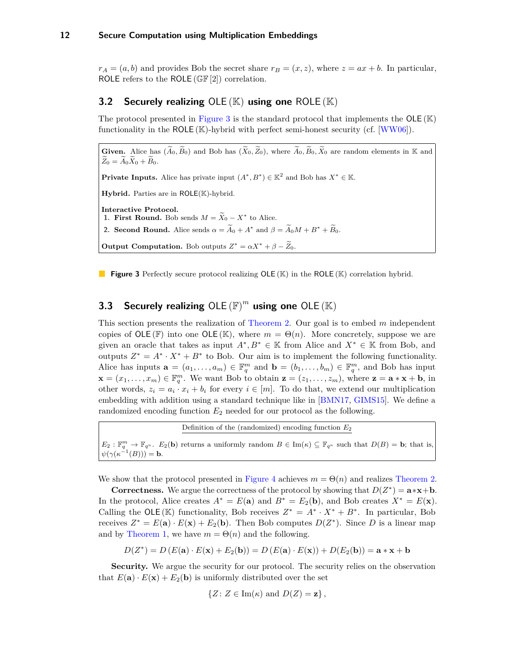<span id="page-11-3"></span> $r_A = (a, b)$  and provides Bob the secret share  $r_B = (x, z)$ , where  $z = ax + b$ . In particular, ROLE refers to the ROLE  $(\mathbb{GF}[2])$  correlation.

# <span id="page-11-0"></span>**3.2 Securely realizing** OLE (K) **using one** ROLE (K)

The protocol presented in [Figure 3](#page-11-2) is the standard protocol that implements the  $OLE(E)$ functionality in the ROLE  $(K)$ -hybrid with perfect semi-honest security (cf. [\[WW06\]](#page-22-2)).

<span id="page-11-2"></span>**Given.** Alice has  $(\widetilde{A}_0, \widetilde{B}_0)$  and Bob has  $(\widetilde{X}_0, \widetilde{Z}_0)$ , where  $\widetilde{A}_0, \widetilde{B}_0, \widetilde{X}_0$  are random elements in K and  $\widetilde{Z}_0 = \widetilde{A}_0 \widetilde{X}_0 + \widetilde{B}_0.$ 

**Private Inputs.** Alice has private input  $(A^*, B^*) \in \mathbb{K}^2$  and Bob has  $X^* \in \mathbb{K}$ .

**Hybrid.** Parties are in ROLE(K)-hybrid.

**Interactive Protocol.**

**1. First Round.** Bob sends  $M = \widetilde{X}_0 - X^*$  to Alice.

**2. Second Round.** Alice sends  $\alpha = \widetilde{A}_0 + A^*$  and  $\beta = \widetilde{A}_0 M + B^* + \widetilde{B}_0$ .

**Output Computation.** Bob outputs  $Z^* = \alpha X^* + \beta - \widetilde{Z}_0$ .

**Figure 3** Perfectly secure protocol realizing OLE (K) in the ROLE (K) correlation hybrid.

# <span id="page-11-1"></span>**3.3 Securely realizing**  $OLE(F)^m$  **using one**  $OLE(E)$

This section presents the realization of [Theorem 2.](#page-4-2) Our goal is to embed *m* independent copies of  $OLE(\mathbb{F})$  into one  $OLE(\mathbb{K})$ , where  $m = \Theta(n)$ . More concretely, suppose we are given an oracle that takes as input  $A^*, B^* \in \mathbb{K}$  from Alice and  $X^* \in \mathbb{K}$  from Bob, and outputs  $Z^* = A^* \cdot X^* + B^*$  to Bob. Our aim is to implement the following functionality. Alice has inputs  $\mathbf{a} = (a_1, \ldots, a_m) \in \mathbb{F}_q^m$  and  $\mathbf{b} = (b_1, \ldots, b_m) \in \mathbb{F}_q^m$ , and Bob has input  $\mathbf{x} = (x_1, \ldots, x_m) \in \mathbb{F}_q^m$ . We want Bob to obtain  $\mathbf{z} = (z_1, \ldots, z_m)$ , where  $\mathbf{z} = \mathbf{a} \cdot \mathbf{x} + \mathbf{b}$ , in other words,  $z_i = a_i \cdot x_i + b_i$  for every  $i \in [m]$ . To do that, we extend our multiplication embedding with addition using a standard technique like in [\[BMN17,](#page-19-5) [GIMS15\]](#page-20-10). We define a randomized encoding function  $E_2$  needed for our protocol as the following.

Definition of the (randomized) encoding function *E*<sup>2</sup>  $E_2: \mathbb{F}_q^m \to \mathbb{F}_{q^n}$ .  $E_2(\mathbf{b})$  returns a uniformly random  $B \in \text{Im}(\kappa) \subseteq \mathbb{F}_{q^n}$  such that  $D(B) = \mathbf{b}$ ; that is,  $\psi(\gamma(\kappa^{-1}(B))) = \mathbf{b}.$ 

We show that the protocol presented in [Figure 4](#page-12-2) achieves  $m = \Theta(n)$  and realizes [Theorem 2.](#page-4-2)

**Correctness.** We argue the correctness of the protocol by showing that  $D(Z^*) = \mathbf{a} \cdot \mathbf{x} + \mathbf{b}$ . In the protocol, Alice creates  $A^* = E(\mathbf{a})$  and  $B^* = E_2(\mathbf{b})$ , and Bob creates  $X^* = E(\mathbf{x})$ . Calling the OLE (K) functionality, Bob receives  $Z^* = A^* \cdot X^* + B^*$ . In particular, Bob receives  $Z^* = E(\mathbf{a}) \cdot E(\mathbf{x}) + E_2(\mathbf{b})$ . Then Bob computes  $D(Z^*)$ . Since D is a linear map and by [Theorem 1,](#page-4-1) we have  $m = \Theta(n)$  and the following.

 $D(Z^*) = D(E(\mathbf{a}) \cdot E(\mathbf{x}) + E_2(\mathbf{b})) = D(E(\mathbf{a}) \cdot E(\mathbf{x})) + D(E_2(\mathbf{b})) = \mathbf{a} \cdot \mathbf{x} + \mathbf{b}$ 

**Security.** We argue the security for our protocol. The security relies on the observation that  $E(\mathbf{a}) \cdot E(\mathbf{x}) + E_2(\mathbf{b})$  is uniformly distributed over the set

$$
\{Z \colon Z \in \text{Im}(\kappa) \text{ and } D(Z) = \mathbf{z}\},\
$$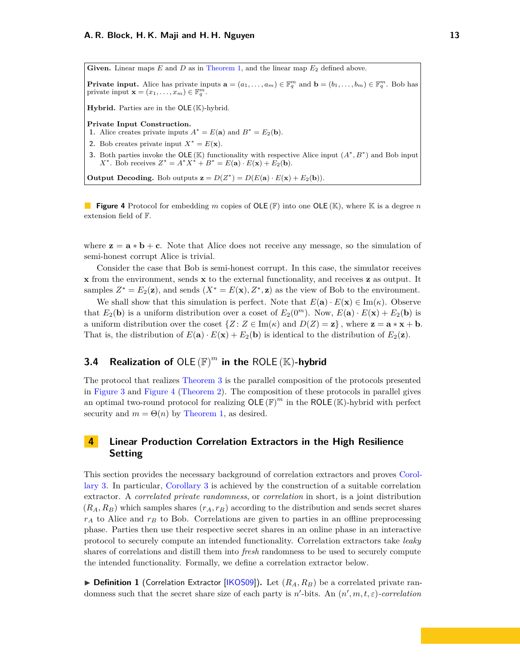<span id="page-12-3"></span><span id="page-12-2"></span>Given. Linear maps  $E$  and  $D$  as in [Theorem 1,](#page-4-1) and the linear map  $E_2$  defined above.

**Private input.** Alice has private inputs  $\mathbf{a} = (a_1, \ldots, a_m) \in \mathbb{F}_q^m$  and  $\mathbf{b} = (b_1, \ldots, b_m) \in \mathbb{F}_q^m$ . Bob has private input  $\mathbf{x} = (x_1, \ldots, x_m) \in \mathbb{F}_q^m$ .

**Hybrid.** Parties are in the OLE (K)-hybrid.

**Private Input Construction.**

**1.** Alice creates private inputs  $A^* = E(\mathbf{a})$  and  $B^* = E_2(\mathbf{b})$ .

- **2.** Bob creates private input  $X^* = E(\mathbf{x})$ .
- **3.** Both parties invoke the OLE (K) functionality with respective Alice input  $(A^*, B^*)$  and Bob input *X*<sup>\*</sup>. Bob receives  $Z^* = A^* X^* + B^* = E(\mathbf{a}) \cdot E(\mathbf{x}) + E_2(\mathbf{b})$ .

**Output Decoding.** Bob outputs  $\mathbf{z} = D(Z^*) = D(E(\mathbf{a}) \cdot E(\mathbf{x}) + E_2(\mathbf{b}))$ .

**Figure 4** Protocol for embedding *m* copies of OLE (F) into one OLE (K), where K is a degree *n* extension field of F.

where  $z = a * b + c$ . Note that Alice does not receive any message, so the simulation of semi-honest corrupt Alice is trivial.

Consider the case that Bob is semi-honest corrupt. In this case, the simulator receives **x** from the environment, sends **x** to the external functionality, and receives **z** as output. It samples  $Z^* = E_2(\mathbf{z})$ , and sends  $(X^* = E(\mathbf{x}), Z^*, \mathbf{z})$  as the view of Bob to the environment.

We shall show that this simulation is perfect. Note that  $E(\mathbf{a}) \cdot E(\mathbf{x}) \in \text{Im}(\kappa)$ . Observe that  $E_2(\mathbf{b})$  is a uniform distribution over a coset of  $E_2(0^m)$ . Now,  $E(\mathbf{a}) \cdot E(\mathbf{x}) + E_2(\mathbf{b})$  is a uniform distribution over the coset  $\{Z : Z \in \text{Im}(\kappa) \text{ and } D(Z) = \mathbf{z}\}\,$ , where  $\mathbf{z} = \mathbf{a} * \mathbf{x} + \mathbf{b}$ . That is, the distribution of  $E(\mathbf{a}) \cdot E(\mathbf{x}) + E_2(\mathbf{b})$  is identical to the distribution of  $E_2(\mathbf{z})$ .

# <span id="page-12-0"></span>**3.4 Realization of**  $OLE(F)^m$  in the ROLE  $(\mathbb{K})$ -hybrid

The protocol that realizes [Theorem 3](#page-10-3) is the parallel composition of the protocols presented in [Figure 3](#page-11-2) and [Figure 4](#page-12-2) [\(Theorem 2\)](#page-4-2). The composition of these protocols in parallel gives an optimal two-round protocol for realizing  $OLE(\mathbb{F})^m$  in the ROLE (K)-hybrid with perfect security and  $m = \Theta(n)$  by [Theorem 1,](#page-4-1) as desired.

# <span id="page-12-1"></span>**4 Linear Production Correlation Extractors in the High Resilience Setting**

This section provides the necessary background of correlation extractors and proves [Corol](#page-5-2)[lary 3.](#page-5-2) In particular, [Corollary 3](#page-5-2) is achieved by the construction of a suitable correlation extractor. A *correlated private randomness*, or *correlation* in short, is a joint distribution  $(R_A, R_B)$  which samples shares  $(r_A, r_B)$  according to the distribution and sends secret shares *r<sup>A</sup>* to Alice and *r<sup>B</sup>* to Bob. Correlations are given to parties in an offline preprocessing phase. Parties then use their respective secret shares in an online phase in an interactive protocol to securely compute an intended functionality. Correlation extractors take *leaky* shares of correlations and distill them into *fresh* randomness to be used to securely compute the intended functionality. Formally, we define a correlation extractor below.

 $\triangleright$  **Definition 1** (Correlation Extractor [\[IKOS09\]](#page-21-9)). Let  $(R_A, R_B)$  be a correlated private randomness such that the secret share size of each party is  $n'$ -bits. An  $(n', m, t, \varepsilon)$ -correlation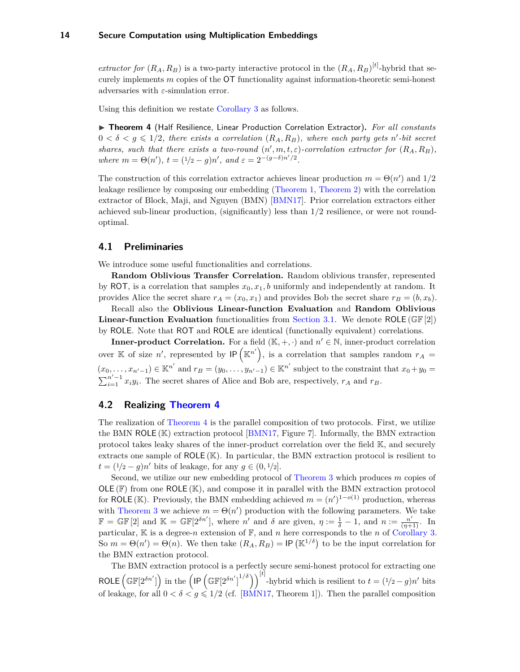<span id="page-13-3"></span>*extractor for*  $(R_A, R_B)$  is a two-party interactive protocol in the  $(R_A, R_B)^{[t]}$ -hybrid that securely implements *m* copies of the OT functionality against information-theoretic semi-honest adversaries with *ε*-simulation error.

Using this definition we restate [Corollary 3](#page-5-2) as follows.

<span id="page-13-2"></span>▶ Theorem 4 (Half Resilience, Linear Production Correlation Extractor). For all constants  $0 < \delta < g \leq 1/2$ , there exists a correlation  $(R_A, R_B)$ , where each party gets n'-bit secret *shares, such that there exists a two-round*  $(n', m, t, \varepsilon)$ -correlation extractor for  $(R_A, R_B)$ , *where*  $m = \Theta(n'), t = (1/2 - g)n'$ , and  $\varepsilon = 2^{-(g-\delta)n'/2}$ .

The construction of this correlation extractor achieves linear production  $m = \Theta(n')$  and  $1/2$ leakage resilience by composing our embedding [\(Theorem 1,](#page-4-1) [Theorem 2\)](#page-4-2) with the correlation extractor of Block, Maji, and Nguyen (BMN) [\[BMN17\]](#page-19-5). Prior correlation extractors either achieved sub-linear production, (significantly) less than 1*/*2 resilience, or were not roundoptimal.

### <span id="page-13-0"></span>**4.1 Preliminaries**

We introduce some useful functionalities and correlations.

**Random Oblivious Transfer Correlation.** Random oblivious transfer, represented by ROT, is a correlation that samples  $x_0, x_1, b$  uniformly and independently at random. It provides Alice the secret share  $r_A = (x_0, x_1)$  and provides Bob the secret share  $r_B = (b, x_b)$ .

Recall also the **Oblivious Linear-function Evaluation** and **Random Oblivious Linear-function Evaluation** functionalities from [Section 3.1.](#page-10-2) We denote ROLE (GF [2]) by ROLE. Note that ROT and ROLE are identical (functionally equivalent) correlations.

**Inner-product Correlation.** For a field  $(\mathbb{K}, +, \cdot)$  and  $n' \in \mathbb{N}$ , inner-product correlation over K of size *n*', represented by  $IP(K^{n'})$ , is a correlation that samples random  $r_A =$  $(x_0, \ldots, x_{n'-1}) \in \mathbb{K}^{n'}$  and  $r_B = (y_0, \ldots, y_{n'-1}) \in \mathbb{K}^{n'}$  subject to the constraint that  $x_0 + y_0 =$  $\sum_{i=1}^{n'-1} x_i y_i$ . The secret shares of Alice and Bob are, respectively,  $r_A$  and  $r_B$ .

## <span id="page-13-1"></span>**4.2 Realizing [Theorem 4](#page-13-2)**

The realization of [Theorem 4](#page-13-2) is the parallel composition of two protocols. First, we utilize the BMN ROLE (K) extraction protocol [\[BMN17,](#page-19-5) Figure 7]. Informally, the BMN extraction protocol takes leaky shares of the inner-product correlation over the field K, and securely extracts one sample of  $ROLE(K)$ . In particular, the BMN extraction protocol is resilient to *t* =  $(1/2 - g)n'$  bits of leakage, for any *g* ∈  $(0, 1/2]$ .

Second, we utilize our new embedding protocol of [Theorem 3](#page-10-3) which produces *m* copies of  $OLE(F)$  from one ROLE  $(K)$ , and compose it in parallel with the BMN extraction protocol for ROLE (K). Previously, the BMN embedding achieved  $m = (n')^{1-o(1)}$  production, whereas with [Theorem 3](#page-10-3) we achieve  $m = \Theta(n')$  production with the following parameters. We take  $\mathbb{F} = \mathbb{GF}[2]$  and  $\mathbb{K} = \mathbb{GF}[2^{\delta n'}],$  where *n'* and  $\delta$  are given,  $\eta := \frac{1}{\delta} - 1$ , and  $n := \frac{n'}{(\eta+1)}$ . In particular,  $\mathbb K$  is a degree-*n* extension of  $\mathbb F$ , and *n* here corresponds to the *n* of [Corollary 3.](#page-5-2) So  $m = \Theta(n') = \Theta(n)$ . We then take  $(R_A, R_B) = \mathsf{IP}(\mathbb{K}^{1/\delta})$  to be the input correlation for the BMN extraction protocol.

The BMN extraction protocol is a perfectly secure semi-honest protocol for extracting one ROLE  $\left(\mathbb{GF}[2^{\delta n'}]\right)$  in the  $\left(\mathbb{IF}\left[\mathbb{GF}[2^{\delta n'}]\right]^{1/\delta}\right)\right)^{[t]}$ -hybrid which is resilient to  $t=(1/2-g)n'$  bits of leakage, for all  $0 < \delta < g \le 1/2$  (cf. [\[BMN17,](#page-19-5) Theorem 1]). Then the parallel composition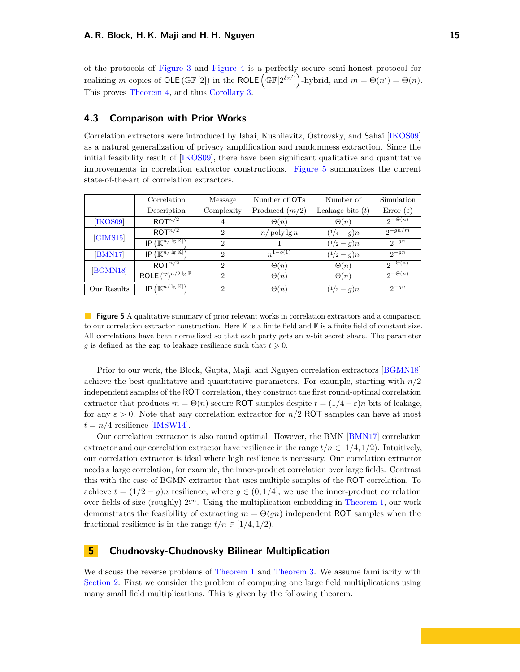<span id="page-14-3"></span>of the protocols of [Figure 3](#page-11-2) and [Figure 4](#page-12-2) is a perfectly secure semi-honest protocol for realizing *m* copies of OLE (GF[2]) in the ROLE  $(\mathbb{GF}[2^{\delta n'}])$ -hybrid, and  $m = \Theta(n') = \Theta(n)$ . This proves [Theorem 4,](#page-13-2) and thus [Corollary 3.](#page-5-2)

### <span id="page-14-0"></span>**4.3 Comparison with Prior Works**

Correlation extractors were introduced by Ishai, Kushilevitz, Ostrovsky, and Sahai [\[IKOS09\]](#page-21-9) as a natural generalization of privacy amplification and randomness extraction. Since the initial feasibility result of [\[IKOS09\]](#page-21-9), there have been significant qualitative and quantitative improvements in correlation extractor constructions. [Figure 5](#page-14-2) summarizes the current state-of-the-art of correlation extractors.

<span id="page-14-2"></span>

|             | Correlation                                                        | Message                     | Number of OT <sub>s</sub> | Number of          | Simulation            |
|-------------|--------------------------------------------------------------------|-----------------------------|---------------------------|--------------------|-----------------------|
|             | Description                                                        | Complexity                  | Produced $(m/2)$          | Leakage bits $(t)$ | Error $(\varepsilon)$ |
| [IKOS09]    | ROT <sup>n/2</sup>                                                 | 4                           | $\Theta(n)$               | $\Theta(n)$        | $2^{-\Theta(n)}$      |
| [GIMS15]    | ROT <sup>n/2</sup>                                                 | $\overline{2}$              | $n/\text{poly}\lg n$      | $(1/4-q)n$         | $2-gn/m$              |
|             | $\sqrt{\mathbb{K}^{n/\sqrt{\lg  \mathbb{K} }}}$<br>IP              | $\mathcal{D}_{\mathcal{L}}$ |                           | $(1/2 - q)n$       | $2^{-gn}$             |
| [BMN17]     | $\sqrt{K^{n/\lg  \mathbb{K} }}$<br>IP                              | $\mathcal{D}_{\mathcal{L}}$ | $n^{1-o(1)}$              | $(1/2 - q)n$       | $2^{-gn}$             |
| [BGMN18]    | ROT <sup>n/2</sup>                                                 | $\mathcal{D}_{\mathcal{L}}$ | $\Theta(n)$               | $\Theta(n)$        | $2^{-\Theta(n)}$      |
|             | ROLE $(\mathbb{F})^{n/2 \lg  \mathbb{F} }$                         | $\mathcal{D}_{\mathcal{L}}$ | $\Theta(n)$               | $\Theta(n)$        | $2^{-\Theta(n)}$      |
| Our Results | $\setminus \left( \mathbb{K}^{n / \lg  \mathbb{K} } \right)$<br>IP | $\mathcal{D}_{\mathcal{L}}$ | $\Theta(n)$               | $(1/2 - q)n$       | $2-gn$                |

**Figure 5** A qualitative summary of prior relevant works in correlation extractors and a comparison to our correlation extractor construction. Here  $\mathbb K$  is a finite field and  $\mathbb F$  is a finite field of constant size. All correlations have been normalized so that each party gets an *n*-bit secret share. The parameter *g* is defined as the gap to leakage resilience such that  $t \geq 0$ .

Prior to our work, the Block, Gupta, Maji, and Nguyen correlation extractors [\[BGMN18\]](#page-19-8) achieve the best qualitative and quantitative parameters. For example, starting with *n/*2 independent samples of the ROT correlation, they construct the first round-optimal correlation extractor that produces  $m = \Theta(n)$  secure ROT samples despite  $t = (1/4 - \varepsilon)n$  bits of leakage, for any  $\varepsilon > 0$ . Note that any correlation extractor for  $n/2$  ROT samples can have at most  $t = n/4$  resilience [\[IMSW14\]](#page-21-13).

Our correlation extractor is also round optimal. However, the BMN [\[BMN17\]](#page-19-5) correlation extractor and our correlation extractor have resilience in the range  $t/n \in [1/4, 1/2)$ . Intuitively, our correlation extractor is ideal where high resilience is necessary. Our correlation extractor needs a large correlation, for example, the inner-product correlation over large fields. Contrast this with the case of BGMN extractor that uses multiple samples of the ROT correlation. To achieve  $t = (1/2 - q)n$  resilience, where  $q \in (0, 1/4]$ , we use the inner-product correlation over fields of size (roughly)  $2^{gn}$ . Using the multiplication embedding in [Theorem 1,](#page-4-1) our work demonstrates the feasibility of extracting  $m = \Theta(qn)$  independent ROT samples when the fractional resilience is in the range  $t/n \in [1/4, 1/2)$ .

# <span id="page-14-1"></span>**5 Chudnovsky-Chudnovsky Bilinear Multiplication**

We discuss the reverse problems of [Theorem 1](#page-4-1) and [Theorem 3.](#page-10-3) We assume familiarity with [Section 2.](#page-6-0) First we consider the problem of computing one large field multiplications using many small field multiplications. This is given by the following theorem.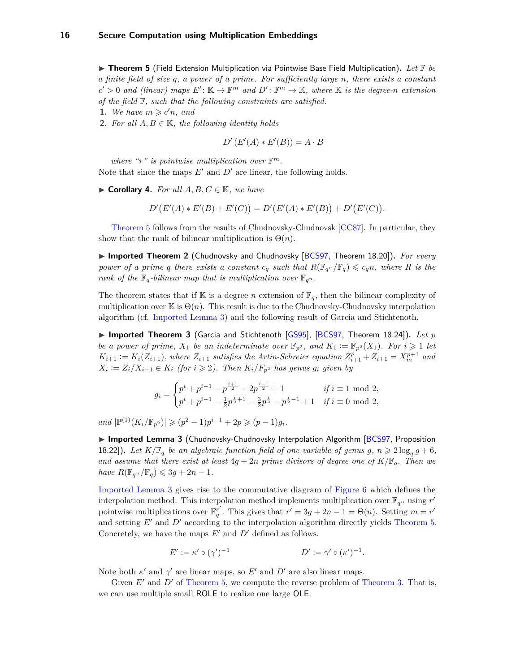<span id="page-15-2"></span><span id="page-15-0"></span>▶ Theorem 5 (Field Extension Multiplication via Pointwise Base Field Multiplication). Let F be *a finite field of size q, a power of a prime. For sufficiently large n, there exists a constant*  $c' > 0$  and (linear) maps  $E' : \mathbb{K} \to \mathbb{F}^m$  and  $D' : \mathbb{F}^m \to \mathbb{K}$ , where  $\mathbb{K}$  is the degree-*n* extension *of the field* F*, such that the following constraints are satisfied.*

- **1.** We have  $m \geqslant c'n$ , and
- **2.** *For all*  $A, B \in \mathbb{K}$ *, the following identity holds*

$$
D'(E'(A) * E'(B)) = A \cdot B
$$

*where "*∗*" is pointwise multiplication over* F *m.*

Note that since the maps  $E'$  and  $D'$  are linear, the following holds.

▶ **Corollary 4.** *For all A, B, C*  $\in$  K*, we have* 

$$
D'(E'(A) * E'(B) + E'(C)) = D'(E'(A) * E'(B)) + D'(E'(C)).
$$

[Theorem 5](#page-15-0) follows from the results of Chudnovsky-Chudnovsk [\[CC87\]](#page-19-2). In particular, they show that the rank of bilinear multiplication is  $\Theta(n)$ .

▶ Imported Theorem 2 (Chudnovsky and Chudnovsky [\[BCS97,](#page-19-7) Theorem 18.20]). *For every power of a prime q there exists a constant*  $c_q$  *such that*  $R(\mathbb{F}_{q^n}/\mathbb{F}_q) \leqslant c_q n$ *, where R is the rank of the*  $\mathbb{F}_q$ *-bilinear map that is multiplication over*  $\mathbb{F}_{q^n}$ *.* 

The theorem states that if  $\mathbb K$  is a degree *n* extension of  $\mathbb F_q$ , then the bilinear complexity of multiplication over K is  $\Theta(n)$ . This result is due to the Chudnovsky-Chudnovsky interpolation algorithm (cf. [Imported Lemma 3\)](#page-15-1) and the following result of Garcia and Stichtenoth.

▶ Imported Theorem 3 (Garcia and Stichtenoth [\[GS95\]](#page-21-14), [\[BCS97,](#page-19-7) Theorem 18.24]). *Let p be a power of prime,*  $X_1$  *be an indeterminate over*  $\mathbb{F}_{p^2}$ *, and*  $K_1 := \mathbb{F}_{p^2}(X_1)$ *. For*  $i \geq 1$  *let*  $K_{i+1} := K_i(Z_{i+1}),$  where  $Z_{i+1}$  satisfies the Artin-Schreier equation  $Z_{i+1}^{\hat{p}} + Z_{i+1} = X_{m}^{p+1}$  and  $X_i := Z_i/X_{i-1} \in K_i$  (for  $i \geq 2$ ). Then  $K_i/F_{p^2}$  has genus  $g_i$  given by

$$
g_i = \begin{cases} p^i + p^{i-1} - p^{\frac{i+1}{2}} - 2p^{\frac{i-1}{2}} + 1 & \text{if } i \equiv 1 \mod 2, \\ p^i + p^{i-1} - \frac{1}{2}p^{\frac{i}{2}+1} - \frac{3}{2}p^{\frac{i}{2}} - p^{\frac{i}{2}-1} + 1 & \text{if } i \equiv 0 \mod 2, \end{cases}
$$

 $\text{and } |\mathbb{P}^{(1)}(K_i/\mathbb{F}_{p^2})| \geqslant (p^2-1)p^{i-1}+2p \geqslant (p-1)g_i.$ 

<span id="page-15-1"></span>▶ Imported Lemma 3 (Chudnovsky-Chudnovsky Interpolation Algorithm [\[BCS97,](#page-19-7) Proposition 18.22]). Let  $K/\mathbb{F}_q$  be an algebraic function field of one variable of genus  $g, n \geq 2 \log_q g + 6$ , *and assume that there exist at least*  $4g + 2n$  *prime divisors of degree one of*  $K/\mathbb{F}_q$ *. Then we*  $have R(\mathbb{F}_{q^n}/\mathbb{F}_q) \leq 3g + 2n - 1.$ 

[Imported Lemma 3](#page-15-1) gives rise to the commutative diagram of [Figure 6](#page-16-2) which defines the interpolation method. This interpolation method implements multiplication over  $\mathbb{F}_{q^n}$  using  $r'$ pointwise multiplications over  $\mathbb{F}_q^{r'}$ . This gives that  $r' = 3g + 2n - 1 = \Theta(n)$ . Setting  $m = r'$ and setting  $E'$  and  $D'$  according to the interpolation algorithm directly yields [Theorem 5.](#page-15-0) Concretely, we have the maps  $E'$  and  $D'$  defined as follows.

$$
E' := \kappa' \circ (\gamma')^{-1} \qquad D' := \gamma' \circ (\kappa')^{-1}.
$$

Note both  $\kappa'$  and  $\gamma'$  are linear maps, so  $E'$  and  $D'$  are also linear maps.

Given  $E'$  and  $D'$  of [Theorem 5,](#page-15-0) we compute the reverse problem of [Theorem 3.](#page-10-3) That is, we can use multiple small ROLE to realize one large OLE.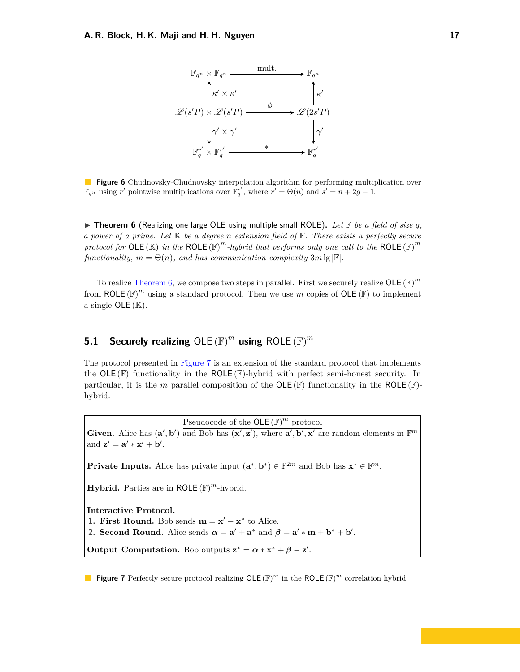<span id="page-16-2"></span>

**Figure 6** Chudnovsky-Chudnovsky interpolation algorithm for performing multiplication over  $\mathbb{F}_q^n$  using *r'* pointwise multiplications over  $\mathbb{F}_q^{r'}$ , where  $r' = \Theta(n)$  and  $s' = n + 2g - 1$ .

<span id="page-16-1"></span> $\triangleright$  **Theorem 6** (Realizing one large OLE using multiple small ROLE). Let F be a field of size q, *a power of a prime. Let* K *be a degree n extension field of* F*. There exists a perfectly secure protocol for* OLE  $(\mathbb{K})$  *in the* ROLE  $(\mathbb{F})^m$ *-hybrid that performs only one call to the* ROLE  $(\mathbb{F})^m$ *functionality,*  $m = \Theta(n)$ *, and has communication complexity*  $3m \lg |\mathbb{F}|$ *.* 

To realize [Theorem 6,](#page-16-1) we compose two steps in parallel. First we securely realize  $OLE(\mathbb{F})^m$ from ROLE  $(\mathbb{F})^m$  using a standard protocol. Then we use m copies of OLE  $(\mathbb{F})$  to implement a single  $OLE(K)$ .

# <span id="page-16-0"></span>**5.1 Securely realizing** OLE (F) *m* **using** ROLE (F) *m*

The protocol presented in [Figure 7](#page-16-3) is an extension of the standard protocol that implements the  $OLE \times )$  functionality in the ROLE  $(F)$ -hybrid with perfect semi-honest security. In particular, it is the *m* parallel composition of the  $OLE(\mathbb{F})$  functionality in the ROLE  $(\mathbb{F})$ hybrid.

Pseudocode of the OLE (F) *<sup>m</sup>* protocol

<span id="page-16-3"></span>Given. Alice has  $(\mathbf{a}', \mathbf{b}')$  and Bob has  $(\mathbf{x}', \mathbf{z}')$ , where  $\mathbf{a}', \mathbf{b}', \mathbf{x}'$  are random elements in  $\mathbb{F}^m$ and  $\mathbf{z}' = \mathbf{a}' \cdot \mathbf{x}' + \mathbf{b}'.$ 

**Private Inputs.** Alice has private input  $(\mathbf{a}^*, \mathbf{b}^*) \in \mathbb{F}^{2m}$  and Bob has  $\mathbf{x}^* \in \mathbb{F}^m$ .

**Hybrid.** Parties are in ROLE (F) *<sup>m</sup>*-hybrid.

**Interactive Protocol.**

**1. First Round.** Bob sends  $\mathbf{m} = \mathbf{x}' - \mathbf{x}^*$  to Alice.

**2. Second Round.** Alice sends  $\alpha = \mathbf{a}' + \mathbf{a}^*$  and  $\beta = \mathbf{a}' * \mathbf{m} + \mathbf{b}^* + \mathbf{b}'$ .

**Output Computation.** Bob outputs  $z^* = \alpha * x^* + \beta - z'$ .

**Figure 7** Perfectly secure protocol realizing  $OLE(F)^m$  in the ROLE  $(\mathbb{F})^m$  correlation hybrid.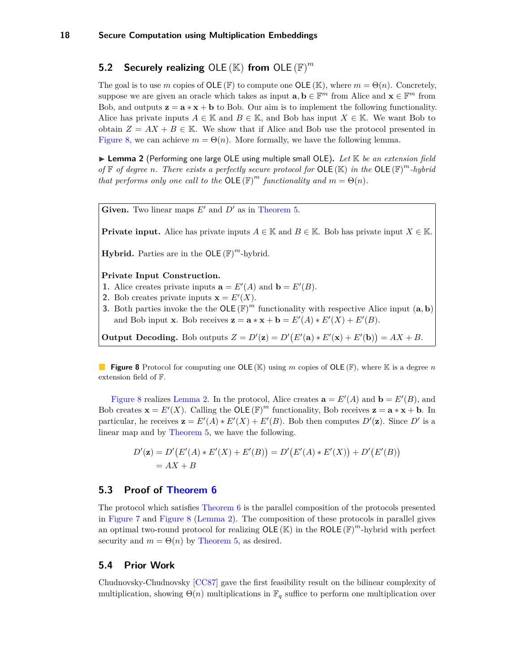# <span id="page-17-5"></span><span id="page-17-0"></span>**5.2 Securely realizing** OLE (K) **from** OLE (F) *m*

The goal is to use *m* copies of OLE (F) to compute one OLE (K), where  $m = \Theta(n)$ . Concretely, suppose we are given an oracle which takes as input  $\mathbf{a}, \mathbf{b} \in \mathbb{F}^m$  from Alice and  $\mathbf{x} \in \mathbb{F}^m$  from Bob, and outputs  $z = a * x + b$  to Bob. Our aim is to implement the following functionality. Alice has private inputs  $A \in \mathbb{K}$  and  $B \in \mathbb{K}$ , and Bob has input  $X \in \mathbb{K}$ . We want Bob to obtain  $Z = AX + B \in \mathbb{K}$ . We show that if Alice and Bob use the protocol presented in [Figure 8,](#page-17-3) we can achieve  $m = \Theta(n)$ . More formally, we have the following lemma.

<span id="page-17-4"></span>▶ Lemma 2 (Performing one large OLE using multiple small OLE). Let K be an extension field *of*  $\mathbb{F}$  *of degree n. There exists a perfectly secure protocol for* OLE ( $\mathbb{K}$ ) *in the* OLE ( $\mathbb{F}$ )<sup>*m*</sup>*-hybrid that performs only one call to the*  $OLE(F)^m$  *functionality and*  $m = \Theta(n)$ *.* 

<span id="page-17-3"></span>**Given.** Two linear maps  $E'$  and  $D'$  as in [Theorem 5.](#page-15-0)

**Private input.** Alice has private inputs  $A \in \mathbb{K}$  and  $B \in \mathbb{K}$ . Bob has private input  $X \in \mathbb{K}$ .

**Hybrid.** Parties are in the  $OLE(F)^m$ -hybrid.

**Private Input Construction.**

- **1.** Alice creates private inputs  $\mathbf{a} = E'(A)$  and  $\mathbf{b} = E'(B)$ .
- **2.** Bob creates private inputs  $\mathbf{x} = E'(X)$ .
- **3.** Both parties invoke the the OLE  $(\mathbb{F})^m$  functionality with respective Alice input  $(a, b)$ and Bob input **x**. Bob receives  $\mathbf{z} = \mathbf{a} * \mathbf{x} + \mathbf{b} = E'(A) * E'(X) + E'(B)$ .

**Output Decoding.** Bob outputs  $Z = D'(\mathbf{z}) = D'(E'(\mathbf{a}) * E'(\mathbf{x}) + E'(\mathbf{b})) = AX + B$ .

**Figure 8** Protocol for computing one OLE (K) using *m* copies of OLE (F), where K is a degree *n* extension field of F.

[Figure 8](#page-17-3) realizes [Lemma 2.](#page-17-4) In the protocol, Alice creates  $\mathbf{a} = E'(A)$  and  $\mathbf{b} = E'(B)$ , and Bob creates  $\mathbf{x} = E'(X)$ . Calling the OLE  $(\mathbb{F})^m$  functionality, Bob receives  $\mathbf{z} = \mathbf{a} * \mathbf{x} + \mathbf{b}$ . In particular, he receives  $\mathbf{z} = E'(A) * E'(X) + E'(B)$ . Bob then computes  $D'(\mathbf{z})$ . Since  $D'$  is a linear map and by [Theorem 5,](#page-15-0) we have the following.

$$
D'(\mathbf{z}) = D'(E'(A) * E'(X) + E'(B)) = D'(E'(A) * E'(X)) + D'(E'(B))
$$
  
= AX + B

## <span id="page-17-1"></span>**5.3 Proof of [Theorem 6](#page-16-1)**

The protocol which satisfies [Theorem 6](#page-16-1) is the parallel composition of the protocols presented in [Figure 7](#page-16-3) and [Figure 8](#page-17-3) [\(Lemma 2\)](#page-17-4). The composition of these protocols in parallel gives an optimal two-round protocol for realizing  $OLE(K)$  in the ROLE  $(\mathbb{F})^m$ -hybrid with perfect security and  $m = \Theta(n)$  by [Theorem 5,](#page-15-0) as desired.

# <span id="page-17-2"></span>**5.4 Prior Work**

Chudnovsky-Chudnovsky [\[CC87\]](#page-19-2) gave the first feasibility result on the bilinear complexity of multiplication, showing  $\Theta(n)$  multiplications in  $\mathbb{F}_q$  suffice to perform one multiplication over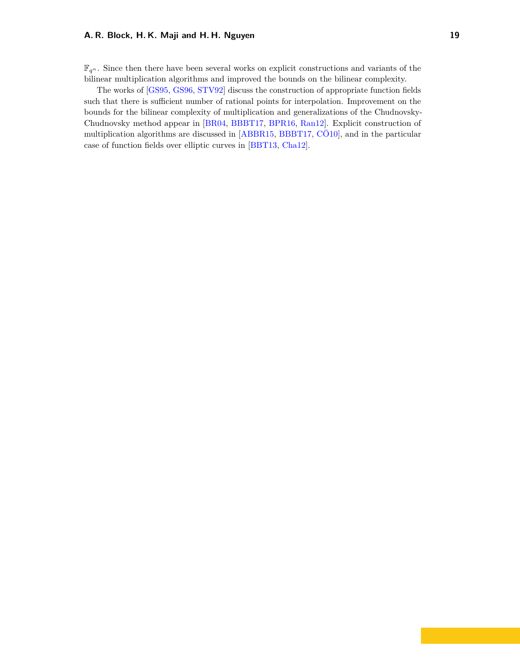<span id="page-18-0"></span> $\mathbb{F}_{q^n}$ . Since then there have been several works on explicit constructions and variants of the bilinear multiplication algorithms and improved the bounds on the bilinear complexity.

The works of [\[GS95,](#page-21-14) [GS96,](#page-21-11) [STV92\]](#page-22-9) discuss the construction of appropriate function fields such that there is sufficient number of rational points for interpolation. Improvement on the bounds for the bilinear complexity of multiplication and generalizations of the Chudnovsky-Chudnovsky method appear in [\[BR04,](#page-19-9) [BBBT17,](#page-19-10) [BPR16,](#page-19-11) [Ran12\]](#page-22-10). Explicit construction of multiplication algorithms are discussed in [\[ABBR15,](#page-19-12) [BBBT17,](#page-19-10) [CÖ10\]](#page-20-11), and in the particular case of function fields over elliptic curves in [\[BBT13,](#page-19-13) [Cha12\]](#page-20-12).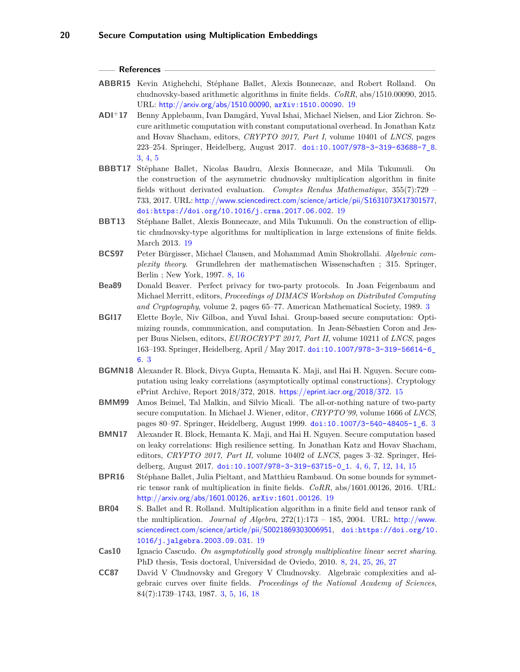#### **References**

- <span id="page-19-12"></span>**ABBR15** Kevin Atighehchi, Stéphane Ballet, Alexis Bonnecaze, and Robert Rolland. On chudnovsky-based arithmetic algorithms in finite fields. *CoRR*, abs/1510.00090, 2015. URL: <http://arxiv.org/abs/1510.00090>, [arXiv:1510.00090](http://arxiv.org/abs/1510.00090). [19](#page-18-0)
- <span id="page-19-4"></span>**ADI**<sup>+</sup>**17** Benny Applebaum, Ivan Damgård, Yuval Ishai, Michael Nielsen, and Lior Zichron. Secure arithmetic computation with constant computational overhead. In Jonathan Katz and Hovav Shacham, editors, *CRYPTO 2017, Part I*, volume 10401 of *LNCS*, pages 223–254. Springer, Heidelberg, August 2017. [doi:10.1007/978-3-319-63688-7\\_8](http://dx.doi.org/10.1007/978-3-319-63688-7_8). [3,](#page-2-2) [4,](#page-3-1) [5](#page-4-4)
- <span id="page-19-10"></span>**BBBT17** Stéphane Ballet, Nicolas Baudru, Alexis Bonnecaze, and Mila Tukumuli. On the construction of the asymmetric chudnovsky multiplication algorithm in finite fields without derivated evaluation. *Comptes Rendus Mathematique*, 355(7):729 – 733, 2017. URL: <http://www.sciencedirect.com/science/article/pii/S1631073X17301577>, [doi:https://doi.org/10.1016/j.crma.2017.06.002](http://dx.doi.org/https://doi.org/10.1016/j.crma.2017.06.002). [19](#page-18-0)
- <span id="page-19-13"></span>**BBT13** Stéphane Ballet, Alexis Bonnecaze, and Mila Tukumuli. On the construction of elliptic chudnovsky-type algorithms for multiplication in large extensions of finite fields. March 2013. [19](#page-18-0)
- <span id="page-19-7"></span>**BCS97** Peter Bürgisser, Michael Clausen, and Mohammad Amin Shokrollahi. *Algebraic complexity theory*. Grundlehren der mathematischen Wissenschaften ; 315. Springer, Berlin ; New York, 1997. [8,](#page-7-4) [16](#page-15-2)
- <span id="page-19-0"></span>**Bea89** Donald Beaver. Perfect privacy for two-party protocols. In Joan Feigenbaum and Michael Merritt, editors, *Proceedings of DIMACS Workshop on Distributed Computing and Cryptography*, volume 2, pages 65–77. American Mathematical Society, 1989. [3](#page-2-2)
- <span id="page-19-3"></span>**BGI17** Elette Boyle, Niv Gilboa, and Yuval Ishai. Group-based secure computation: Optimizing rounds, communication, and computation. In Jean-Sébastien Coron and Jesper Buus Nielsen, editors, *EUROCRYPT 2017, Part II*, volume 10211 of *LNCS*, pages 163–193. Springer, Heidelberg, April / May 2017. [doi:10.1007/978-3-319-56614-6\\_](http://dx.doi.org/10.1007/978-3-319-56614-6_6) [6](http://dx.doi.org/10.1007/978-3-319-56614-6_6). [3](#page-2-2)
- <span id="page-19-8"></span>**BGMN18** Alexander R. Block, Divya Gupta, Hemanta K. Maji, and Hai H. Nguyen. Secure computation using leaky correlations (asymptotically optimal constructions). Cryptology ePrint Archive, Report 2018/372, 2018. <https://eprint.iacr.org/2018/372>. [15](#page-14-3)
- <span id="page-19-1"></span>**BMM99** Amos Beimel, Tal Malkin, and Silvio Micali. The all-or-nothing nature of two-party secure computation. In Michael J. Wiener, editor, *CRYPTO'99*, volume 1666 of *LNCS*, pages 80–97. Springer, Heidelberg, August 1999. [doi:10.1007/3-540-48405-1\\_6](http://dx.doi.org/10.1007/3-540-48405-1_6). [3](#page-2-2)
- <span id="page-19-5"></span>**BMN17** Alexander R. Block, Hemanta K. Maji, and Hai H. Nguyen. Secure computation based on leaky correlations: High resilience setting. In Jonathan Katz and Hovav Shacham, editors, *CRYPTO 2017, Part II*, volume 10402 of *LNCS*, pages 3–32. Springer, Heidelberg, August 2017. [doi:10.1007/978-3-319-63715-0\\_1](http://dx.doi.org/10.1007/978-3-319-63715-0_1). [4,](#page-3-1) [6,](#page-5-3) [7,](#page-6-2) [12,](#page-11-3) [14,](#page-13-3) [15](#page-14-3)
- <span id="page-19-11"></span>**BPR16** Stéphane Ballet, Julia Pieltant, and Matthieu Rambaud. On some bounds for symmetric tensor rank of multiplication in finite fields. *CoRR*, abs/1601.00126, 2016. URL: <http://arxiv.org/abs/1601.00126>, [arXiv:1601.00126](http://arxiv.org/abs/1601.00126). [19](#page-18-0)
- <span id="page-19-9"></span>**BR04** S. Ballet and R. Rolland. Multiplication algorithm in a finite field and tensor rank of the multiplication. *Journal of Algebra*, 272(1):173 – 185, 2004. URL: [http://www.](http://www.sciencedirect.com/science/article/pii/S0021869303006951) [sciencedirect.com/science/article/pii/S0021869303006951](http://www.sciencedirect.com/science/article/pii/S0021869303006951), [doi:https://doi.org/10.](http://dx.doi.org/https://doi.org/10.1016/j.jalgebra.2003.09.031) [1016/j.jalgebra.2003.09.031](http://dx.doi.org/https://doi.org/10.1016/j.jalgebra.2003.09.031). [19](#page-18-0)
- <span id="page-19-6"></span>**Cas10** Ignacio Cascudo. *On asymptotically good strongly multiplicative linear secret sharing*. PhD thesis, Tesis doctoral, Universidad de Oviedo, 2010. [8,](#page-7-4) [24,](#page-23-1) [25,](#page-24-0) [26,](#page-25-0) [27](#page-26-0)
- <span id="page-19-2"></span>**CC87** David V Chudnovsky and Gregory V Chudnovsky. Algebraic complexities and algebraic curves over finite fields. *Proceedings of the National Academy of Sciences*, 84(7):1739–1743, 1987. [3,](#page-2-2) [5,](#page-4-4) [16,](#page-15-2) [18](#page-17-5)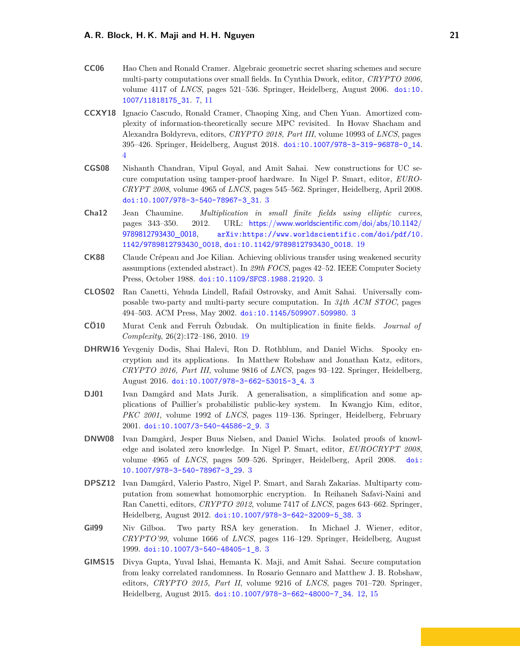- <span id="page-20-9"></span>**CC06** Hao Chen and Ronald Cramer. Algebraic geometric secret sharing schemes and secure multi-party computations over small fields. In Cynthia Dwork, editor, *CRYPTO 2006*, volume 4117 of *LNCS*, pages 521–536. Springer, Heidelberg, August 2006. [doi:10.](http://dx.doi.org/10.1007/11818175_31) [1007/11818175\\_31](http://dx.doi.org/10.1007/11818175_31). [7,](#page-6-2) [11](#page-10-4)
- <span id="page-20-8"></span>**CCXY18** Ignacio Cascudo, Ronald Cramer, Chaoping Xing, and Chen Yuan. Amortized complexity of information-theoretically secure MPC revisited. In Hovav Shacham and Alexandra Boldyreva, editors, *CRYPTO 2018, Part III*, volume 10993 of *LNCS*, pages 395–426. Springer, Heidelberg, August 2018. [doi:10.1007/978-3-319-96878-0\\_14](http://dx.doi.org/10.1007/978-3-319-96878-0_14). [4](#page-3-1)
- <span id="page-20-2"></span>**CGS08** Nishanth Chandran, Vipul Goyal, and Amit Sahai. New constructions for UC secure computation using tamper-proof hardware. In Nigel P. Smart, editor, *EURO-CRYPT 2008*, volume 4965 of *LNCS*, pages 545–562. Springer, Heidelberg, April 2008. [doi:10.1007/978-3-540-78967-3\\_31](http://dx.doi.org/10.1007/978-3-540-78967-3_31). [3](#page-2-2)
- <span id="page-20-12"></span>**Cha12** Jean Chaumine. *Multiplication in small finite fields using elliptic curves*, pages 343–350. 2012. URL: [https://www.worldscientific.com/doi/abs/10.1142/](https://www.worldscientific.com/doi/abs/10.1142/9789812793430_0018) [9789812793430\\_0018](https://www.worldscientific.com/doi/abs/10.1142/9789812793430_0018), [arXiv:https://www.worldscientific.com/doi/pdf/10.](http://arxiv.org/abs/https://www.worldscientific.com/doi/pdf/10.1142/9789812793430_0018) [1142/9789812793430\\_0018](http://arxiv.org/abs/https://www.worldscientific.com/doi/pdf/10.1142/9789812793430_0018), [doi:10.1142/9789812793430\\_0018](http://dx.doi.org/10.1142/9789812793430_0018). [19](#page-18-0)
- <span id="page-20-0"></span>**CK88** Claude Crépeau and Joe Kilian. Achieving oblivious transfer using weakened security assumptions (extended abstract). In *29th FOCS*, pages 42–52. IEEE Computer Society Press, October 1988. [doi:10.1109/SFCS.1988.21920](http://dx.doi.org/10.1109/SFCS.1988.21920). [3](#page-2-2)
- <span id="page-20-1"></span>**CLOS02** Ran Canetti, Yehuda Lindell, Rafail Ostrovsky, and Amit Sahai. Universally composable two-party and multi-party secure computation. In *34th ACM STOC*, pages 494–503. ACM Press, May 2002. [doi:10.1145/509907.509980](http://dx.doi.org/10.1145/509907.509980). [3](#page-2-2)
- <span id="page-20-11"></span>**CÖ10** Murat Cenk and Ferruh Özbudak. On multiplication in finite fields. *Journal of Complexity*, 26(2):172–186, 2010. [19](#page-18-0)
- <span id="page-20-4"></span>**DHRW16** Yevgeniy Dodis, Shai Halevi, Ron D. Rothblum, and Daniel Wichs. Spooky encryption and its applications. In Matthew Robshaw and Jonathan Katz, editors, *CRYPTO 2016, Part III*, volume 9816 of *LNCS*, pages 93–122. Springer, Heidelberg, August 2016. [doi:10.1007/978-3-662-53015-3\\_4](http://dx.doi.org/10.1007/978-3-662-53015-3_4). [3](#page-2-2)
- <span id="page-20-5"></span>**DJ01** Ivan Damgård and Mats Jurik. A generalisation, a simplification and some applications of Paillier's probabilistic public-key system. In Kwangjo Kim, editor, *PKC 2001*, volume 1992 of *LNCS*, pages 119–136. Springer, Heidelberg, February 2001. [doi:10.1007/3-540-44586-2\\_9](http://dx.doi.org/10.1007/3-540-44586-2_9). [3](#page-2-2)
- <span id="page-20-3"></span>**DNW08** Ivan Damgård, Jesper Buus Nielsen, and Daniel Wichs. Isolated proofs of knowledge and isolated zero knowledge. In Nigel P. Smart, editor, *EUROCRYPT 2008*, volume 4965 of *LNCS*, pages 509–526. Springer, Heidelberg, April 2008. [doi:](http://dx.doi.org/10.1007/978-3-540-78967-3_29) [10.1007/978-3-540-78967-3\\_29](http://dx.doi.org/10.1007/978-3-540-78967-3_29). [3](#page-2-2)
- <span id="page-20-7"></span>**DPSZ12** Ivan Damgård, Valerio Pastro, Nigel P. Smart, and Sarah Zakarias. Multiparty computation from somewhat homomorphic encryption. In Reihaneh Safavi-Naini and Ran Canetti, editors, *CRYPTO 2012*, volume 7417 of *LNCS*, pages 643–662. Springer, Heidelberg, August 2012. [doi:10.1007/978-3-642-32009-5\\_38](http://dx.doi.org/10.1007/978-3-642-32009-5_38). [3](#page-2-2)
- <span id="page-20-6"></span>**Gil99** Niv Gilboa. Two party RSA key generation. In Michael J. Wiener, editor, *CRYPTO'99*, volume 1666 of *LNCS*, pages 116–129. Springer, Heidelberg, August 1999. [doi:10.1007/3-540-48405-1\\_8](http://dx.doi.org/10.1007/3-540-48405-1_8). [3](#page-2-2)
- <span id="page-20-10"></span>**GIMS15** Divya Gupta, Yuval Ishai, Hemanta K. Maji, and Amit Sahai. Secure computation from leaky correlated randomness. In Rosario Gennaro and Matthew J. B. Robshaw, editors, *CRYPTO 2015, Part II*, volume 9216 of *LNCS*, pages 701–720. Springer, Heidelberg, August 2015. [doi:10.1007/978-3-662-48000-7\\_34](http://dx.doi.org/10.1007/978-3-662-48000-7_34). [12,](#page-11-3) [15](#page-14-3)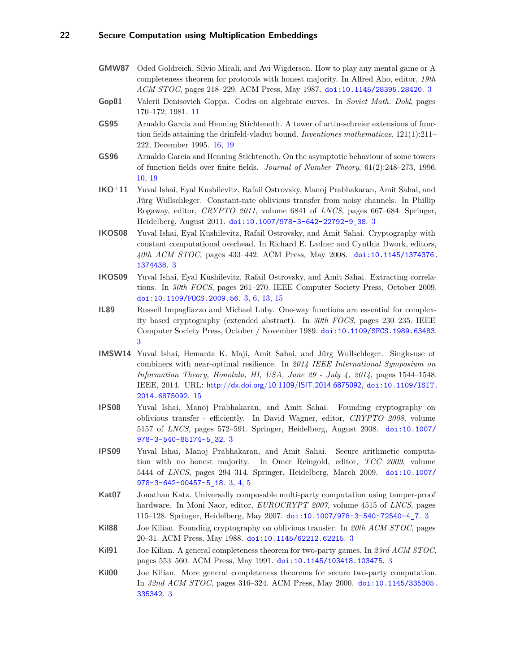- <span id="page-21-0"></span>**GMW87** Oded Goldreich, Silvio Micali, and Avi Wigderson. How to play any mental game or A completeness theorem for protocols with honest majority. In Alfred Aho, editor, *19th ACM STOC*, pages 218–229. ACM Press, May 1987. [doi:10.1145/28395.28420](http://dx.doi.org/10.1145/28395.28420). [3](#page-2-2)
- <span id="page-21-12"></span>**Gop81** Valerii Denisovich Goppa. Codes on algebraic curves. In *Soviet Math. Dokl*, pages 170–172, 1981. [11](#page-10-4)
- <span id="page-21-14"></span>**GS95** Arnaldo Garcia and Henning Stichtenoth. A tower of artin-schreier extensions of function fields attaining the drinfeld-vladut bound. *Inventiones mathematicae*, 121(1):211– 222, December 1995. [16,](#page-15-2) [19](#page-18-0)
- <span id="page-21-11"></span>**GS96** Arnaldo Garcia and Henning Stichtenoth. On the asymptotic behaviour of some towers of function fields over finite fields. *Journal of Number Theory*, 61(2):248–273, 1996. [10,](#page-9-3) [19](#page-18-0)
- <span id="page-21-10"></span>**IKO**<sup>+</sup>**11** Yuval Ishai, Eyal Kushilevitz, Rafail Ostrovsky, Manoj Prabhakaran, Amit Sahai, and Jürg Wullschleger. Constant-rate oblivious transfer from noisy channels. In Phillip Rogaway, editor, *CRYPTO 2011*, volume 6841 of *LNCS*, pages 667–684. Springer, Heidelberg, August 2011. [doi:10.1007/978-3-642-22792-9\\_38](http://dx.doi.org/10.1007/978-3-642-22792-9_38). [3](#page-2-2)
- <span id="page-21-8"></span>**IKOS08** Yuval Ishai, Eyal Kushilevitz, Rafail Ostrovsky, and Amit Sahai. Cryptography with constant computational overhead. In Richard E. Ladner and Cynthia Dwork, editors, *40th ACM STOC*, pages 433–442. ACM Press, May 2008. [doi:10.1145/1374376.](http://dx.doi.org/10.1145/1374376.1374438) [1374438](http://dx.doi.org/10.1145/1374376.1374438). [3](#page-2-2)
- <span id="page-21-9"></span>**IKOS09** Yuval Ishai, Eyal Kushilevitz, Rafail Ostrovsky, and Amit Sahai. Extracting correlations. In *50th FOCS*, pages 261–270. IEEE Computer Society Press, October 2009. [doi:10.1109/FOCS.2009.56](http://dx.doi.org/10.1109/FOCS.2009.56). [3,](#page-2-2) [6,](#page-5-3) [13,](#page-12-3) [15](#page-14-3)
- <span id="page-21-1"></span>**IL89** Russell Impagliazzo and Michael Luby. One-way functions are essential for complexity based cryptography (extended abstract). In *30th FOCS*, pages 230–235. IEEE Computer Society Press, October / November 1989. [doi:10.1109/SFCS.1989.63483](http://dx.doi.org/10.1109/SFCS.1989.63483). [3](#page-2-2)
- <span id="page-21-13"></span>**IMSW14** Yuval Ishai, Hemanta K. Maji, Amit Sahai, and Jürg Wullschleger. Single-use ot combiners with near-optimal resilience. In *2014 IEEE International Symposium on Information Theory, Honolulu, HI, USA, June 29 - July 4, 2014*, pages 1544–1548. IEEE, 2014. URL: <http://dx.doi.org/10.1109/ISIT.2014.6875092>, [doi:10.1109/ISIT.](http://dx.doi.org/10.1109/ISIT.2014.6875092) [2014.6875092](http://dx.doi.org/10.1109/ISIT.2014.6875092). [15](#page-14-3)
- <span id="page-21-3"></span>**IPS08** Yuval Ishai, Manoj Prabhakaran, and Amit Sahai. Founding cryptography on oblivious transfer - efficiently. In David Wagner, editor, *CRYPTO 2008*, volume 5157 of *LNCS*, pages 572–591. Springer, Heidelberg, August 2008. [doi:10.1007/](http://dx.doi.org/10.1007/978-3-540-85174-5_32) [978-3-540-85174-5\\_32](http://dx.doi.org/10.1007/978-3-540-85174-5_32). [3](#page-2-2)
- <span id="page-21-6"></span>**IPS09** Yuval Ishai, Manoj Prabhakaran, and Amit Sahai. Secure arithmetic computation with no honest majority. In Omer Reingold, editor, *TCC 2009*, volume 5444 of *LNCS*, pages 294–314. Springer, Heidelberg, March 2009. [doi:10.1007/](http://dx.doi.org/10.1007/978-3-642-00457-5_18) [978-3-642-00457-5\\_18](http://dx.doi.org/10.1007/978-3-642-00457-5_18). [3,](#page-2-2) [4,](#page-3-1) [5](#page-4-4)
- <span id="page-21-7"></span>**Kat07** Jonathan Katz. Universally composable multi-party computation using tamper-proof hardware. In Moni Naor, editor, *EUROCRYPT 2007*, volume 4515 of *LNCS*, pages 115–128. Springer, Heidelberg, May 2007. [doi:10.1007/978-3-540-72540-4\\_7](http://dx.doi.org/10.1007/978-3-540-72540-4_7). [3](#page-2-2)
- <span id="page-21-2"></span>**Kil88** Joe Kilian. Founding cryptography on oblivious transfer. In *20th ACM STOC*, pages 20–31. ACM Press, May 1988. [doi:10.1145/62212.62215](http://dx.doi.org/10.1145/62212.62215). [3](#page-2-2)
- <span id="page-21-4"></span>**Kil91** Joe Kilian. A general completeness theorem for two-party games. In *23rd ACM STOC*, pages 553–560. ACM Press, May 1991. [doi:10.1145/103418.103475](http://dx.doi.org/10.1145/103418.103475). [3](#page-2-2)
- <span id="page-21-5"></span>**Kil00** Joe Kilian. More general completeness theorems for secure two-party computation. In *32nd ACM STOC*, pages 316–324. ACM Press, May 2000. [doi:10.1145/335305.](http://dx.doi.org/10.1145/335305.335342) [335342](http://dx.doi.org/10.1145/335305.335342). [3](#page-2-2)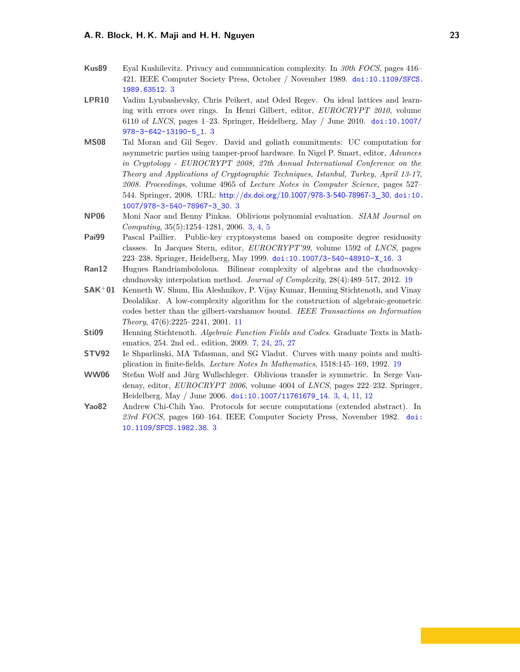- <span id="page-22-1"></span>**Kus89** Eyal Kushilevitz. Privacy and communication complexity. In *30th FOCS*, pages 416– 421. IEEE Computer Society Press, October / November 1989. [doi:10.1109/SFCS.](http://dx.doi.org/10.1109/SFCS.1989.63512) [1989.63512](http://dx.doi.org/10.1109/SFCS.1989.63512). [3](#page-2-2)
- <span id="page-22-5"></span>**LPR10** Vadim Lyubashevsky, Chris Peikert, and Oded Regev. On ideal lattices and learning with errors over rings. In Henri Gilbert, editor, *EUROCRYPT 2010*, volume 6110 of *LNCS*, pages 1–23. Springer, Heidelberg, May / June 2010. [doi:10.1007/](http://dx.doi.org/10.1007/978-3-642-13190-5_1) [978-3-642-13190-5\\_1](http://dx.doi.org/10.1007/978-3-642-13190-5_1). [3](#page-2-2)
- <span id="page-22-3"></span>**MS08** Tal Moran and Gil Segev. David and goliath commitments: UC computation for asymmetric parties using tamper-proof hardware. In Nigel P. Smart, editor, *Advances in Cryptology - EUROCRYPT 2008, 27th Annual International Conference on the Theory and Applications of Cryptographic Techniques, Istanbul, Turkey, April 13-17, 2008. Proceedings*, volume 4965 of *Lecture Notes in Computer Science*, pages 527– 544. Springer, 2008. URL: [http://dx.doi.org/10.1007/978-3-540-78967-3\\_30](http://dx.doi.org/10.1007/978-3-540-78967-3_30), [doi:10.](http://dx.doi.org/10.1007/978-3-540-78967-3_30) [1007/978-3-540-78967-3\\_30](http://dx.doi.org/10.1007/978-3-540-78967-3_30). [3](#page-2-2)
- <span id="page-22-6"></span>**NP06** Moni Naor and Benny Pinkas. Oblivious polynomial evaluation. *SIAM Journal on Computing*, 35(5):1254–1281, 2006. [3,](#page-2-2) [4,](#page-3-1) [5](#page-4-4)
- <span id="page-22-4"></span>**Pai99** Pascal Paillier. Public-key cryptosystems based on composite degree residuosity classes. In Jacques Stern, editor, *EUROCRYPT'99*, volume 1592 of *LNCS*, pages 223–238. Springer, Heidelberg, May 1999. [doi:10.1007/3-540-48910-X\\_16](http://dx.doi.org/10.1007/3-540-48910-X_16). [3](#page-2-2)
- <span id="page-22-10"></span>**Ran12** Hugues Randriambololona. Bilinear complexity of algebras and the chudnovsky– chudnovsky interpolation method. *Journal of Complexity*, 28(4):489–517, 2012. [19](#page-18-0)
- <span id="page-22-8"></span>**SAK**<sup>+</sup>**01** Kenneth W. Shum, Ilia Aleshnikov, P. Vijay Kumar, Henning Stichtenoth, and Vinay Deolalikar. A low-complexity algorithm for the construction of algebraic-geometric codes better than the gilbert-varshamov bound. *IEEE Transactions on Information Theory*, 47(6):2225–2241, 2001. [11](#page-10-4)
- <span id="page-22-7"></span>**Sti09** Henning Stichtenoth. *Algebraic Function Fields and Codes*. Graduate Texts in Mathematics, 254. 2nd ed.. edition, 2009. [7,](#page-6-2) [24,](#page-23-1) [25,](#page-24-0) [27](#page-26-0)
- <span id="page-22-9"></span>**STV92** Ie Shparlinski, MA Tsfasman, and SG Vladut. Curves with many points and multiplication in finite-fields. *Lecture Notes In Mathematics*, 1518:145–169, 1992. [19](#page-18-0)
- <span id="page-22-2"></span>**WW06** Stefan Wolf and Jürg Wullschleger. Oblivious transfer is symmetric. In Serge Vaudenay, editor, *EUROCRYPT 2006*, volume 4004 of *LNCS*, pages 222–232. Springer, Heidelberg, May / June 2006. [doi:10.1007/11761679\\_14](http://dx.doi.org/10.1007/11761679_14). [3,](#page-2-2) [4,](#page-3-1) [11,](#page-10-4) [12](#page-11-3)
- <span id="page-22-0"></span>**Yao82** Andrew Chi-Chih Yao. Protocols for secure computations (extended abstract). In *23rd FOCS*, pages 160–164. IEEE Computer Society Press, November 1982. [doi:](http://dx.doi.org/10.1109/SFCS.1982.38) [10.1109/SFCS.1982.38](http://dx.doi.org/10.1109/SFCS.1982.38). [3](#page-2-2)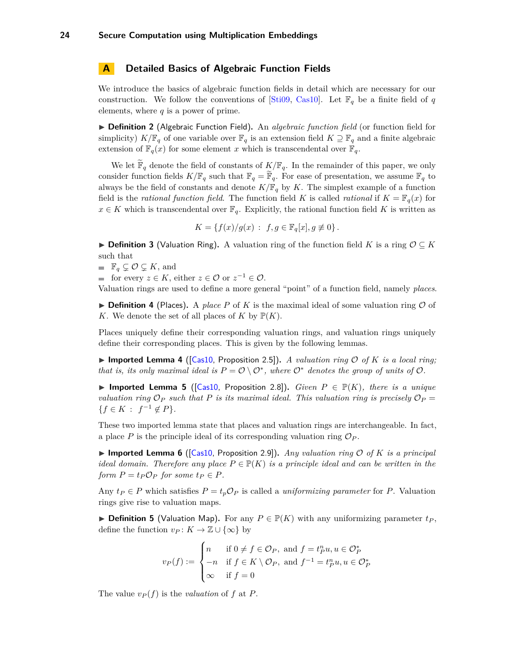### <span id="page-23-1"></span><span id="page-23-0"></span>**A Detailed Basics of Algebraic Function Fields**

We introduce the basics of algebraic function fields in detail which are necessary for our construction. We follow the conventions of [\[Sti09,](#page-22-7) [Cas10\]](#page-19-6). Let  $\mathbb{F}_q$  be a finite field of *q* elements, where *q* is a power of prime.

▶ **Definition 2** (Algebraic Function Field). An *algebraic function field* (or function field for simplicity)  $K/\mathbb{F}_q$  of one variable over  $\mathbb{F}_q$  is an extension field  $K \supseteq \mathbb{F}_q$  and a finite algebraic extension of  $\mathbb{F}_q(x)$  for some element *x* which is transcendental over  $\mathbb{F}_q$ .

We let  $\widetilde{\mathbb{F}}_q$  denote the field of constants of  $K/\mathbb{F}_q$ . In the remainder of this paper, we only consider function fields  $K/\mathbb{F}_q$  such that  $\mathbb{F}_q = \mathbb{F}_q$ . For ease of presentation, we assume  $\mathbb{F}_q$  to always be the field of constants and denote  $K/\mathbb{F}_q$  by *K*. The simplest example of a function field is the *rational function field*. The function field K is called *rational* if  $K = \mathbb{F}_q(x)$  for  $x \in K$  which is transcendental over  $\mathbb{F}_q$ . Explicitly, the rational function field K is written as

$$
K = \{ f(x)/g(x) : f, g \in \mathbb{F}_q[x], g \not\equiv 0 \}.
$$

**► Definition 3** (Valuation Ring). A valuation ring of the function field *K* is a ring  $\mathcal{O} \subseteq K$ such that

 $\blacksquare$   $\mathbb{F}_q \subsetneq \mathcal{O} \subsetneq K$ , and

for every  $z \in K$ , either  $z \in \mathcal{O}$  or  $z^{-1} \in \mathcal{O}$ .

Valuation rings are used to define a more general "point" of a function field, namely *places*.

 $\triangleright$  **Definition 4** (Places). A *place P* of *K* is the maximal ideal of some valuation ring  $\mathcal{O}$  of *K*. We denote the set of all places of *K* by  $\mathbb{P}(K)$ .

Places uniquely define their corresponding valuation rings, and valuation rings uniquely define their corresponding places. This is given by the following lemmas.

**Imported Lemma 4** ([\[Cas10,](#page-19-6) Proposition 2.5]). A valuation ring  $\mathcal{O}$  of K is a local ring; *that is, its only maximal ideal is*  $P = \mathcal{O} \setminus \mathcal{O}^*$ , where  $\mathcal{O}^*$  *denotes the group of units of*  $\mathcal{O}$ *.* 

**Imported Lemma 5** ( $[Cas10, Proposition 2.8]$  $[Cas10, Proposition 2.8]$ ). *Given*  $P \in \mathbb{P}(K)$ , *there is a unique valuation ring*  $\mathcal{O}_P$  *such that*  $P$  *is its maximal ideal. This valuation ring is precisely*  $\mathcal{O}_P$  =  ${f \in K : f^{-1} \notin P}.$ 

These two imported lemma state that places and valuation rings are interchangeable. In fact, a place P is the principle ideal of its corresponding valuation ring  $\mathcal{O}_P$ .

**Imported Lemma 6** ([\[Cas10,](#page-19-6) Proposition 2.9]). *Any valuation ring*  $\mathcal{O}$  *of*  $K$  *is a principal ideal domain. Therefore any place*  $P \in \mathbb{P}(K)$  *is a principle ideal and can be written in the form*  $P = t_P \mathcal{O}_P$  *for some*  $t_P \in P$ *.* 

Any  $t_P \in P$  which satisfies  $P = t_p \mathcal{O}_P$  is called a *uniformizing parameter* for P. Valuation rings give rise to valuation maps.

<span id="page-23-2"></span>▶ **Definition 5** (Valuation Map). For any  $P \in \mathbb{P}(K)$  with any uniformizing parameter  $t_P$ , define the function  $v_P: K \to \mathbb{Z} \cup \{\infty\}$  by

$$
v_P(f) := \begin{cases} n & \text{if } 0 \neq f \in \mathcal{O}_P, \text{ and } f = t_P^n u, u \in \mathcal{O}_P^* \\ -n & \text{if } f \in K \setminus \mathcal{O}_P, \text{ and } f^{-1} = t_P^n u, u \in \mathcal{O}_P^* \\ \infty & \text{if } f = 0 \end{cases}
$$

The value  $v_P(f)$  is the *valuation* of f at P.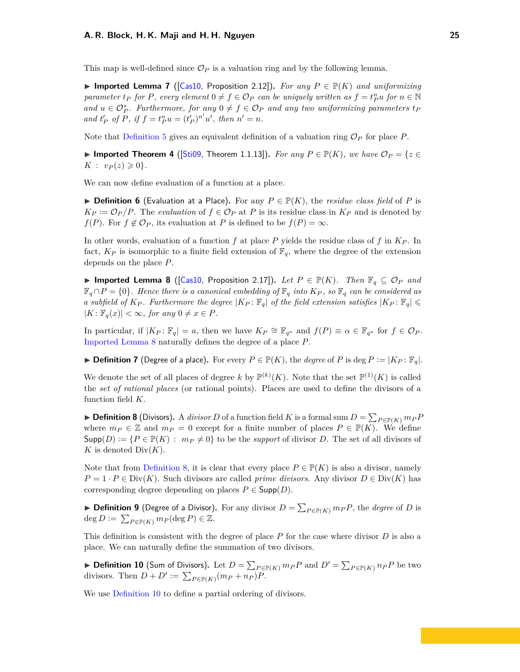<span id="page-24-0"></span>This map is well-defined since  $\mathcal{O}_P$  is a valuation ring and by the following lemma.

▶ Imported Lemma 7 ( $[Cas10, Proposition 2.12]$  $[Cas10, Proposition 2.12]$ ). *For any*  $P \in \mathbb{P}(K)$  *and uniformizing parameter t<sub>P</sub> for P, every element*  $0 \neq f \in \mathcal{O}_P$  *can be uniquely written as*  $f = t_P^n u$  *for*  $n \in \mathbb{N}$ *and*  $u \in \mathcal{O}_P^*$ . Furthermore, for any  $0 \neq f \in \mathcal{O}_P$  and any two uniformizing parameters  $t_P$ *and*  $t'_P$  *of*  $\tilde{P}$ *, if*  $f = t_P^n u = (t'_P)^{n'} u'$ *, then*  $n' = n$ *.* 

Note that [Definition 5](#page-23-2) gives an equivalent definition of a valuation ring  $\mathcal{O}_P$  for place P.

▶ Imported Theorem 4 ( $[Sti09,$  Theorem 1.1.13]). *For any*  $P \in \mathbb{P}(K)$ *, we have*  $\mathcal{O}_P = \{z \in$  $K: v_P(z) \geq 0$ .

We can now define evaluation of a function at a place.

**► Definition 6** (Evaluation at a Place). For any  $P \in \mathbb{P}(K)$ , the *residue class field* of P is  $K_P := \mathcal{O}_P/P$ . The *evaluation* of  $f \in \mathcal{O}_P$  at *P* is its residue class in  $K_P$  and is denoted by *f*(*P*). For *f*  $\notin \mathcal{O}_P$ , its evaluation at *P* is defined to be *f*(*P*) = ∞.

In other words, evaluation of a function  $f$  at place  $P$  yields the residue class of  $f$  in  $K_P$ . In fact,  $K_P$  is isomorphic to a finite field extension of  $\mathbb{F}_q$ , where the degree of the extension depends on the place *P*.

<span id="page-24-1"></span>▶ Imported Lemma 8 ([\[Cas10,](#page-19-6) Proposition 2.17]). Let  $P \in \mathbb{P}(K)$ . Then  $\mathbb{F}_q$   $\subseteq$   $\mathcal{O}_P$  and  $\mathbb{F}_q \cap P = \{0\}$ . Hence there is a canonical embedding of  $\mathbb{F}_q$  into  $K_P$ , so  $\mathbb{F}_q$  can be considered as *a* subfield of  $K_P$ . Furthermore the degree  $|K_P: \mathbb{F}_q|$  of the field extension satisfies  $|K_P: \mathbb{F}_q| \leq$  $|K: \mathbb{F}_q(x)| < \infty$ , for any  $0 \neq x \in P$ .

In particular, if  $|K_P: \mathbb{F}_q| = a$ , then we have  $K_P \cong \mathbb{F}_{q^a}$  and  $f(P) \equiv \alpha \in \mathbb{F}_{q^a}$  for  $f \in \mathcal{O}_P$ . [Imported Lemma 8](#page-24-1) naturally defines the degree of a place *P*.

▶ **Definition 7** (Degree of a place). For every  $P \in \mathbb{P}(K)$ , the *degree* of P is deg  $P := |K_P : \mathbb{F}_q|$ .

We denote the set of all places of degree k by  $\mathbb{P}^{(k)}(K)$ . Note that the set  $\mathbb{P}^{(1)}(K)$  is called the *set of rational places* (or rational points). Places are used to define the divisors of a function field *K*.

<span id="page-24-2"></span>▶ **Definition 8** (Divisors). A *divisor D* of a function field *K* is a formal sum  $D = \sum_{P \in \mathbb{P}(K)} m_P P$ where  $m_P \in \mathbb{Z}$  and  $m_P = 0$  except for a finite number of places  $P \in \mathbb{P}(K)$ . We define  $\textsf{Supp}(D) := \{ P \in \mathbb{P}(K) : m_P \neq 0 \}$  to be the *support* of divisor *D*. The set of all divisors of *K* is denoted  $Div(K)$ .

Note that from [Definition 8,](#page-24-2) it is clear that every place  $P \in \mathbb{P}(K)$  is also a divisor, namely  $P = 1 \cdot P \in Div(K)$ . Such divisors are called *prime divisors*. Any divisor  $D \in Div(K)$  has corresponding degree depending on places  $P \in \mathsf{Supp}(D)$ .

▶ **Definition 9** (Degree of a Divisor). For any divisor  $D = \sum_{P \in \mathbb{P}(K)} m_P P$ , the *degree* of *D* is  $\deg D := \sum_{P \in \mathbb{P}(K)} m_P(\deg P) \in \mathbb{Z}.$ 

This definition is consistent with the degree of place *P* for the case where divisor *D* is also a place. We can naturally define the summation of two divisors.

<span id="page-24-3"></span>▶ Definition 10 (Sum of Divisors). Let  $D = \sum_{P \in \mathbb{P}(K)} m_P P$  and  $D' = \sum_{P \in \mathbb{P}(K)} n_P P$  be two divisors. Then  $D + D' := \sum_{P \in \mathbb{P}(K)} (m_P + n_P)P$ .

We use [Definition 10](#page-24-3) to define a partial ordering of divisors.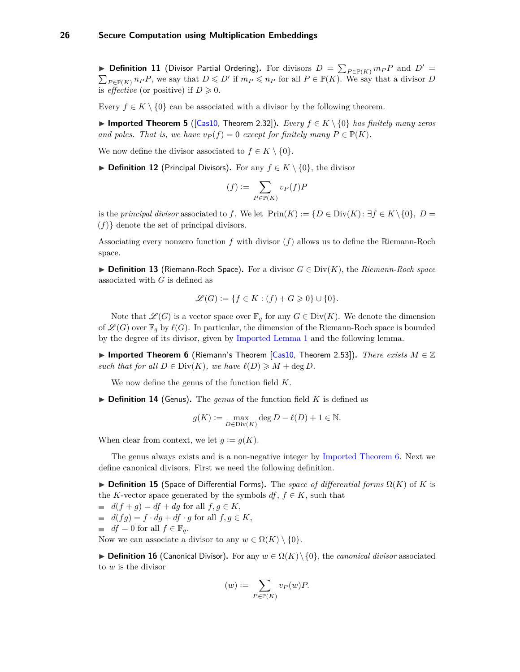<span id="page-25-0"></span>▶ **Definition 11** (Divisor Partial Ordering). For divisors  $D = \sum_{P \in \mathbb{P}(K)} m_P P$  and  $D' =$  $\sum_{P \in \mathbb{P}(K)} n_P P$ , we say that  $D \leq D'$  if  $m_P \leq n_P$  for all  $P \in \mathbb{P}(K)$ . We say that a divisor *D* is *effective* (or positive) if  $D \ge 0$ .

Every  $f \in K \setminus \{0\}$  can be associated with a divisor by the following theorem.

**► Imported Theorem 5** ([\[Cas10,](#page-19-6) Theorem 2.32]). *Every*  $f \in K \setminus \{0\}$  *has finitely many zeros and poles. That is, we have*  $v_P(f) = 0$  *except for finitely many*  $P \in \mathbb{P}(K)$ *.* 

We now define the divisor associated to  $f \in K \setminus \{0\}.$ 

**▶ Definition 12** (Principal Divisors). For any  $f \in K \setminus \{0\}$ , the divisor

$$
(f) := \sum_{P \in \mathbb{P}(K)} v_P(f) P
$$

is the *principal divisor* associated to *f*. We let  $\text{Prin}(K) := \{D \in \text{Div}(K) : \exists f \in K \setminus \{0\}, D = \emptyset\}$ (*f*)} denote the set of principal divisors.

Associating every nonzero function *f* with divisor (*f*) allows us to define the Riemann-Roch space.

**► Definition 13** (Riemann-Roch Space). For a divisor  $G \in Div(K)$ , the *Riemann-Roch space* associated with *G* is defined as

$$
\mathcal{L}(G) := \{ f \in K : (f) + G \geq 0 \} \cup \{ 0 \}.
$$

Note that  $\mathscr{L}(G)$  is a vector space over  $\mathbb{F}_q$  for any  $G \in Div(K)$ . We denote the dimension of  $\mathscr{L}(G)$  over  $\mathbb{F}_q$  by  $\ell(G)$ . In particular, the dimension of the Riemann-Roch space is bounded by the degree of its divisor, given by [Imported Lemma 1](#page-7-1) and the following lemma.

<span id="page-25-1"></span>**► Imported Theorem 6** (Riemann's Theorem [\[Cas10,](#page-19-6) Theorem 2.53]). *There exists*  $M \in \mathbb{Z}$ *such that for all*  $D \in Div(K)$ *, we have*  $\ell(D) \geq M + \deg D$ *.* 

We now define the genus of the function field *K*.

 $\triangleright$  **Definition 14** (Genus). The *genus* of the function field *K* is defined as

$$
g(K):=\max_{D\in \text{Div}(K)}\deg D-\ell(D)+1\in \mathbb{N}.
$$

When clear from context, we let  $g := g(K)$ .

The genus always exists and is a non-negative integer by [Imported Theorem 6.](#page-25-1) Next we define canonical divisors. First we need the following definition.

 $▶$  **Definition 15** (Space of Differential Forms). The *space of differential forms*  $Ω(K)$  of *K* is the *K*-vector space generated by the symbols  $df, f \in K$ , such that

 $\blacksquare$  *d*(*f* + *g*) = *df* + *dg* for all *f*, *g*  $\in$  *K*,  $d(fg) = f \cdot dg + df \cdot g$  for all  $f, g \in K$ ,

$$
\text{if } df = 0 \text{ for all } f \in \mathbb{F}_q.
$$

Now we can associate a divisor to any  $w \in \Omega(K) \setminus \{0\}.$ 

**► Definition 16** (Canonical Divisor). For any  $w \in \Omega(K) \setminus \{0\}$ , the *canonical divisor* associated to *w* is the divisor

$$
(w) := \sum_{P \in \mathbb{P}(K)} v_P(w) P.
$$